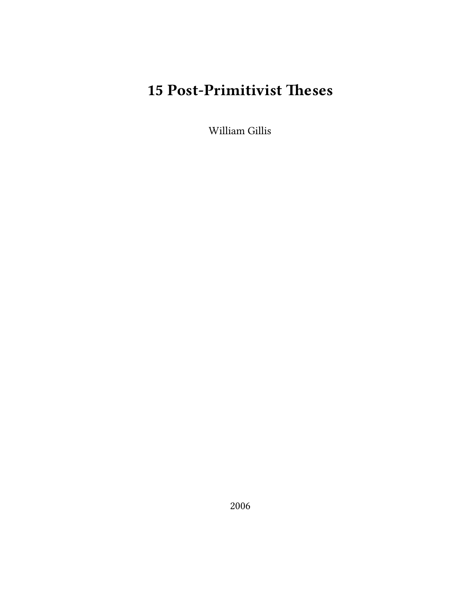# **15 Post-Primitivist Theses**

William Gillis

2006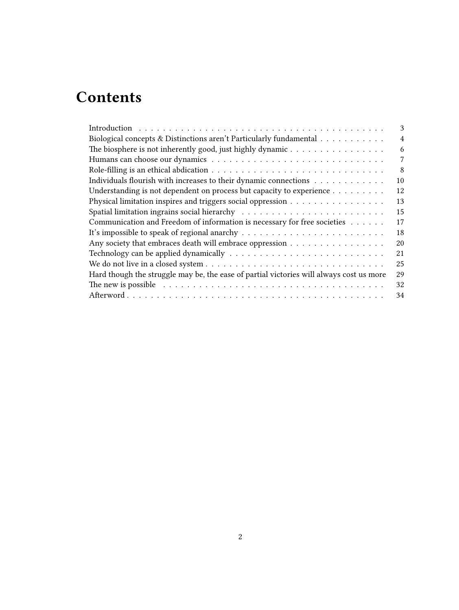# **Contents**

| 3              |
|----------------|
| $\overline{4}$ |
| 6              |
| 7              |
| 8              |
| 10             |
| 12             |
| 13             |
| 15             |
| 17             |
| 18             |
| 20             |
| 21             |
| 25             |
| 29             |
| 32             |
| 34             |
|                |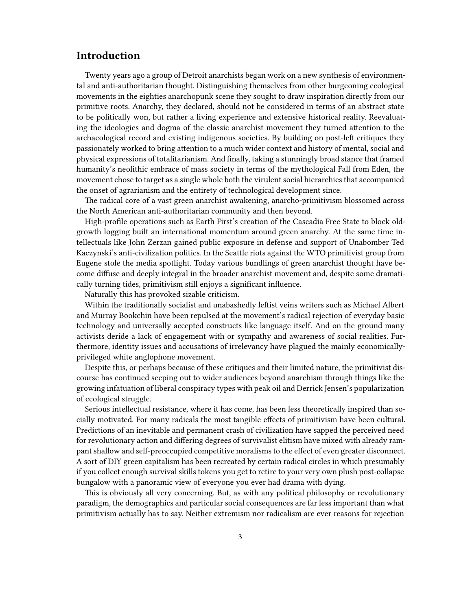## <span id="page-2-0"></span>**Introduction**

Twenty years ago a group of Detroit anarchists began work on a new synthesis of environmental and anti-authoritarian thought. Distinguishing themselves from other burgeoning ecological movements in the eighties anarchopunk scene they sought to draw inspiration directly from our primitive roots. Anarchy, they declared, should not be considered in terms of an abstract state to be politically won, but rather a living experience and extensive historical reality. Reevaluating the ideologies and dogma of the classic anarchist movement they turned attention to the archaeological record and existing indigenous societies. By building on post-left critiques they passionately worked to bring attention to a much wider context and history of mental, social and physical expressions of totalitarianism. And finally, taking a stunningly broad stance that framed humanity's neolithic embrace of mass society in terms of the mythological Fall from Eden, the movement chose to target as a single whole both the virulent social hierarchies that accompanied the onset of agrarianism and the entirety of technological development since.

The radical core of a vast green anarchist awakening, anarcho-primitivism blossomed across the North American anti-authoritarian community and then beyond.

High-profile operations such as Earth First's creation of the Cascadia Free State to block oldgrowth logging built an international momentum around green anarchy. At the same time intellectuals like John Zerzan gained public exposure in defense and support of Unabomber Ted Kaczynski's anti-civilization politics. In the Seattle riots against the WTO primitivist group from Eugene stole the media spotlight. Today various bundlings of green anarchist thought have become diffuse and deeply integral in the broader anarchist movement and, despite some dramatically turning tides, primitivism still enjoys a significant influence.

Naturally this has provoked sizable criticism.

Within the traditionally socialist and unabashedly leftist veins writers such as Michael Albert and Murray Bookchin have been repulsed at the movement's radical rejection of everyday basic technology and universally accepted constructs like language itself. And on the ground many activists deride a lack of engagement with or sympathy and awareness of social realities. Furthermore, identity issues and accusations of irrelevancy have plagued the mainly economicallyprivileged white anglophone movement.

Despite this, or perhaps because of these critiques and their limited nature, the primitivist discourse has continued seeping out to wider audiences beyond anarchism through things like the growing infatuation of liberal conspiracy types with peak oil and Derrick Jensen's popularization of ecological struggle.

Serious intellectual resistance, where it has come, has been less theoretically inspired than socially motivated. For many radicals the most tangible effects of primitivism have been cultural. Predictions of an inevitable and permanent crash of civilization have sapped the perceived need for revolutionary action and differing degrees of survivalist elitism have mixed with already rampant shallow and self-preoccupied competitive moralisms to the effect of even greater disconnect. A sort of DIY green capitalism has been recreated by certain radical circles in which presumably if you collect enough survival skills tokens you get to retire to your very own plush post-collapse bungalow with a panoramic view of everyone you ever had drama with dying.

This is obviously all very concerning. But, as with any political philosophy or revolutionary paradigm, the demographics and particular social consequences are far less important than what primitivism actually has to say. Neither extremism nor radicalism are ever reasons for rejection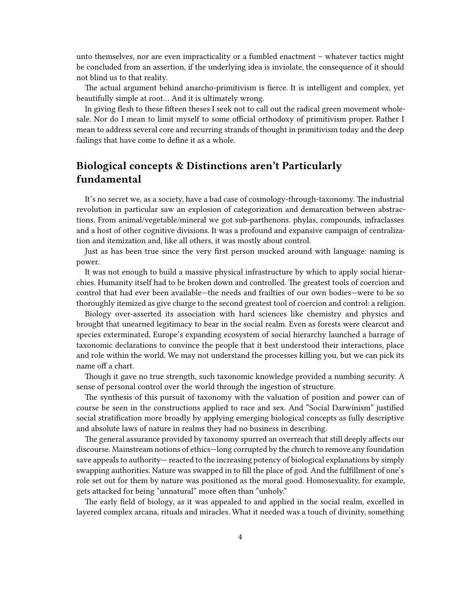unto themselves, nor are even impracticality or a fumbled enactment – whatever tactics might be concluded from an assertion, if the underlying idea is inviolate, the consequence of it should not blind us to that reality.

The actual argument behind anarcho-primitivism is fierce. It is intelligent and complex, yet beautifully simple at root… And it is ultimately wrong.

In giving flesh to these fifteen theses I seek not to call out the radical green movement wholesale. Nor do I mean to limit myself to some official orthodoxy of primitivism proper. Rather I mean to address several core and recurring strands of thought in primitivism today and the deep failings that have come to define it as a whole.

## <span id="page-3-0"></span>**Biological concepts & Distinctions aren't Particularly fundamental**

It's no secret we, as a society, have a bad case of cosmology-through-taxonomy. The industrial revolution in particular saw an explosion of categorization and demarcation between abstractions. From animal/vegetable/mineral we got sub-parthenons. phylas, compounds, infraclasses and a host of other cognitive divisions. It was a profound and expansive campaign of centralization and itemization and, like all others, it was mostly about control.

Just as has been true since the very first person mucked around with language: naming is power.

It was not enough to build a massive physical infrastructure by which to apply social hierarchies. Humanity itself had to be broken down and controlled. The greatest tools of coercion and control that had ever been available—the needs and frailties of our own bodies—were to be so thoroughly itemized as give charge to the second greatest tool of coercion and control: a religion.

Biology over-asserted its association with hard sciences like chemistry and physics and brought that unearned legitimacy to bear in the social realm. Even as forests were clearcut and species exterminated, Europe's expanding ecosystem of social hierarchy launched a barrage of taxonomic declarations to convince the people that it best understood their interactions, place and role within the world. We may not understand the processes killing you, but we can pick its name off a chart.

Though it gave no true strength, such taxonomic knowledge provided a numbing security. A sense of personal control over the world through the ingestion of structure.

The synthesis of this pursuit of taxonomy with the valuation of position and power can of course be seen in the constructions applied to race and sex. And "Social Darwinism" justified social stratification more broadly by applying emerging biological concepts as fully descriptive and absolute laws of nature in realms they had no business in describing.

The general assurance provided by taxonomy spurred an overreach that still deeply affects our discourse. Mainstream notions of ethics—long corrupted by the church to remove any foundation save appeals to authority— reacted to the increasing potency of biological explanations by simply swapping authorities. Nature was swapped in to fill the place of god. And the fulfillment of one's role set out for them by nature was positioned as the moral good. Homosexuality, for example, gets attacked for being "unnatural" more often than "unholy."

The early field of biology, as it was appealed to and applied in the social realm, excelled in layered complex arcana, rituals and miracles. What it needed was a touch of divinity, something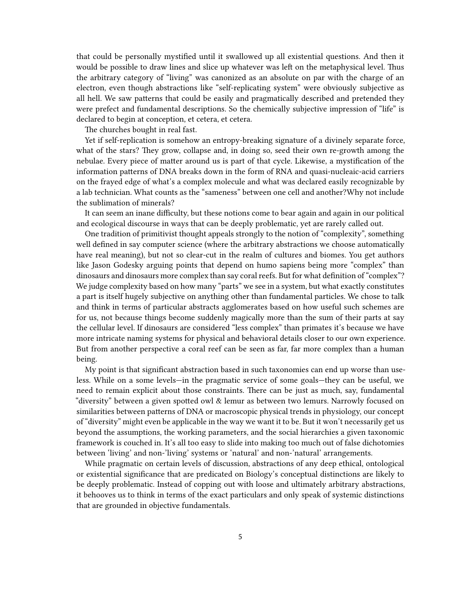that could be personally mystified until it swallowed up all existential questions. And then it would be possible to draw lines and slice up whatever was left on the metaphysical level. Thus the arbitrary category of "living" was canonized as an absolute on par with the charge of an electron, even though abstractions like "self-replicating system" were obviously subjective as all hell. We saw patterns that could be easily and pragmatically described and pretended they were prefect and fundamental descriptions. So the chemically subjective impression of "life" is declared to begin at conception, et cetera, et cetera.

The churches bought in real fast.

Yet if self-replication is somehow an entropy-breaking signature of a divinely separate force, what of the stars? They grow, collapse and, in doing so, seed their own re-growth among the nebulae. Every piece of matter around us is part of that cycle. Likewise, a mystification of the information patterns of DNA breaks down in the form of RNA and quasi-nucleaic-acid carriers on the frayed edge of what's a complex molecule and what was declared easily recognizable by a lab technician. What counts as the "sameness" between one cell and another?Why not include the sublimation of minerals?

It can seem an inane difficulty, but these notions come to bear again and again in our political and ecological discourse in ways that can be deeply problematic, yet are rarely called out.

One tradition of primitivist thought appeals strongly to the notion of "complexity", something well defined in say computer science (where the arbitrary abstractions we choose automatically have real meaning), but not so clear-cut in the realm of cultures and biomes. You get authors like Jason Godesky arguing points that depend on humo sapiens being more "complex" than dinosaurs and dinosaurs more complex than say coral reefs. But for what definition of "complex"? We judge complexity based on how many "parts" we see in a system, but what exactly constitutes a part is itself hugely subjective on anything other than fundamental particles. We chose to talk and think in terms of particular abstracts agglomerates based on how useful such schemes are for us, not because things become suddenly magically more than the sum of their parts at say the cellular level. If dinosaurs are considered "less complex" than primates it's because we have more intricate naming systems for physical and behavioral details closer to our own experience. But from another perspective a coral reef can be seen as far, far more complex than a human being.

My point is that significant abstraction based in such taxonomies can end up worse than useless. While on a some levels—in the pragmatic service of some goals—they can be useful, we need to remain explicit about those constraints. There can be just as much, say, fundamental "diversity" between a given spotted owl & lemur as between two lemurs. Narrowly focused on similarities between patterns of DNA or macroscopic physical trends in physiology, our concept of "diversity" might even be applicable in the way we want it to be. But it won't necessarily get us beyond the assumptions, the working parameters, and the social hierarchies a given taxonomic framework is couched in. It's all too easy to slide into making too much out of false dichotomies between 'living' and non-'living' systems or 'natural' and non-'natural' arrangements.

While pragmatic on certain levels of discussion, abstractions of any deep ethical, ontological or existential significance that are predicated on Biology's conceptual distinctions are likely to be deeply problematic. Instead of copping out with loose and ultimately arbitrary abstractions, it behooves us to think in terms of the exact particulars and only speak of systemic distinctions that are grounded in objective fundamentals.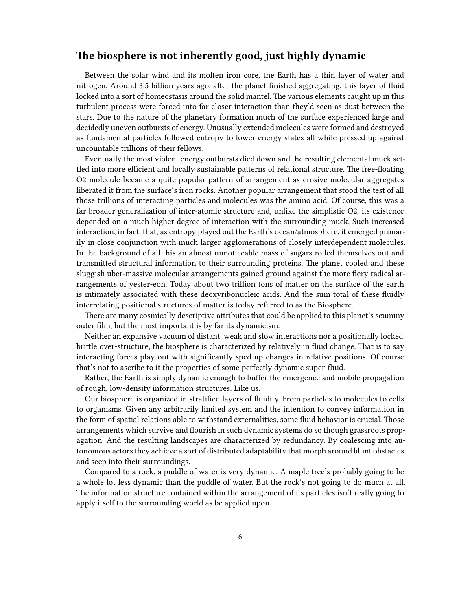## <span id="page-5-0"></span>**The biosphere is not inherently good, just highly dynamic**

Between the solar wind and its molten iron core, the Earth has a thin layer of water and nitrogen. Around 3.5 billion years ago, after the planet finished aggregating, this layer of fluid locked into a sort of homeostasis around the solid mantel. The various elements caught up in this turbulent process were forced into far closer interaction than they'd seen as dust between the stars. Due to the nature of the planetary formation much of the surface experienced large and decidedly uneven outbursts of energy. Unusually extended molecules were formed and destroyed as fundamental particles followed entropy to lower energy states all while pressed up against uncountable trillions of their fellows.

Eventually the most violent energy outbursts died down and the resulting elemental muck settled into more efficient and locally sustainable patterns of relational structure. The free-floating O2 molecule became a quite popular pattern of arrangement as erosive molecular aggregates liberated it from the surface's iron rocks. Another popular arrangement that stood the test of all those trillions of interacting particles and molecules was the amino acid. Of course, this was a far broader generalization of inter-atomic structure and, unlike the simplistic O2, its existence depended on a much higher degree of interaction with the surrounding muck. Such increased interaction, in fact, that, as entropy played out the Earth's ocean/atmosphere, it emerged primarily in close conjunction with much larger agglomerations of closely interdependent molecules. In the background of all this an almost unnoticeable mass of sugars rolled themselves out and transmitted structural information to their surrounding proteins. The planet cooled and these sluggish uber-massive molecular arrangements gained ground against the more fiery radical arrangements of yester-eon. Today about two trillion tons of matter on the surface of the earth is intimately associated with these deoxyribonucleic acids. And the sum total of these fluidly interrelating positional structures of matter is today referred to as the Biosphere.

There are many cosmically descriptive attributes that could be applied to this planet's scummy outer film, but the most important is by far its dynamicism.

Neither an expansive vacuum of distant, weak and slow interactions nor a positionally locked, brittle over-structure, the biosphere is characterized by relatively in fluid change. That is to say interacting forces play out with significantly sped up changes in relative positions. Of course that's not to ascribe to it the properties of some perfectly dynamic super-fluid.

Rather, the Earth is simply dynamic enough to buffer the emergence and mobile propagation of rough, low-density information structures. Like us.

Our biosphere is organized in stratified layers of fluidity. From particles to molecules to cells to organisms. Given any arbitrarily limited system and the intention to convey information in the form of spatial relations able to withstand externalities, some fluid behavior is crucial. Those arrangements which survive and flourish in such dynamic systems do so though grassroots propagation. And the resulting landscapes are characterized by redundancy. By coalescing into autonomous actors they achieve a sort of distributed adaptability that morph around blunt obstacles and seep into their surroundings.

Compared to a rock, a puddle of water is very dynamic. A maple tree's probably going to be a whole lot less dynamic than the puddle of water. But the rock's not going to do much at all. The information structure contained within the arrangement of its particles isn't really going to apply itself to the surrounding world as be applied upon.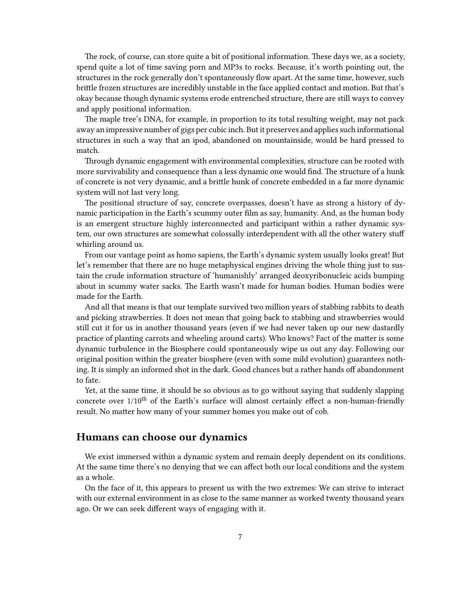The rock, of course, can store quite a bit of positional information. These days we, as a society, spend quite a lot of time saving porn and MP3s to rocks. Because, it's worth pointing out, the structures in the rock generally don't spontaneously flow apart. At the same time, however, such brittle frozen structures are incredibly unstable in the face applied contact and motion. But that's okay because though dynamic systems erode entrenched structure, there are still ways to convey and apply positional information.

The maple tree's DNA, for example, in proportion to its total resulting weight, may not pack away an impressive number of gigs per cubic inch. But it preserves and applies such informational structures in such a way that an ipod, abandoned on mountainside, would be hard pressed to match.

Through dynamic engagement with environmental complexities, structure can be rooted with more survivability and consequence than a less dynamic one would find. The structure of a hunk of concrete is not very dynamic, and a brittle hunk of concrete embedded in a far more dynamic system will not last very long.

The positional structure of say, concrete overpasses, doesn't have as strong a history of dynamic participation in the Earth's scummy outer film as say, humanity. And, as the human body is an emergent structure highly interconnected and participant within a rather dynamic system, our own structures are somewhat colossally interdependent with all the other watery stuff whirling around us.

From our vantage point as homo sapiens, the Earth's dynamic system usually looks great! But let's remember that there are no huge metaphysical engines driving the whole thing just to sustain the crude information structure of 'humanishly' arranged deoxyribonucleic acids bumping about in scummy water sacks. The Earth wasn't made for human bodies. Human bodies were made for the Earth.

And all that means is that our template survived two million years of stabbing rabbits to death and picking strawberries. It does not mean that going back to stabbing and strawberries would still cut it for us in another thousand years (even if we had never taken up our new dastardly practice of planting carrots and wheeling around carts). Who knows? Fact of the matter is some dynamic turbulence in the Biosphere could spontaneously wipe us out any day. Following our original position within the greater biosphere (even with some mild evolution) guarantees nothing. It is simply an informed shot in the dark. Good chances but a rather hands off abandonment to fate.

Yet, at the same time, it should be so obvious as to go without saying that suddenly slapping concrete over  $1/10^{th}$  of the Earth's surface will almost certainly effect a non-human-friendly result. No matter how many of your summer homes you make out of cob.

## <span id="page-6-0"></span>**Humans can choose our dynamics**

We exist immersed within a dynamic system and remain deeply dependent on its conditions. At the same time there's no denying that we can affect both our local conditions and the system as a whole.

On the face of it, this appears to present us with the two extremes: We can strive to interact with our external environment in as close to the same manner as worked twenty thousand years ago. Or we can seek different ways of engaging with it.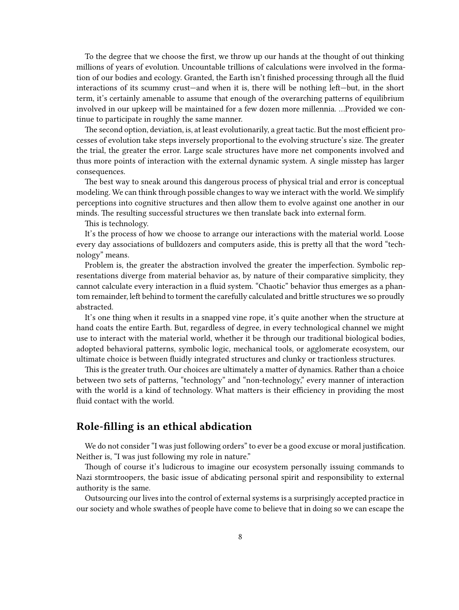To the degree that we choose the first, we throw up our hands at the thought of out thinking millions of years of evolution. Uncountable trillions of calculations were involved in the formation of our bodies and ecology. Granted, the Earth isn't finished processing through all the fluid interactions of its scummy crust—and when it is, there will be nothing left—but, in the short term, it's certainly amenable to assume that enough of the overarching patterns of equilibrium involved in our upkeep will be maintained for a few dozen more millennia. …Provided we continue to participate in roughly the same manner.

The second option, deviation, is, at least evolutionarily, a great tactic. But the most efficient processes of evolution take steps inversely proportional to the evolving structure's size. The greater the trial, the greater the error. Large scale structures have more net components involved and thus more points of interaction with the external dynamic system. A single misstep has larger consequences.

The best way to sneak around this dangerous process of physical trial and error is conceptual modeling. We can think through possible changes to way we interact with the world. We simplify perceptions into cognitive structures and then allow them to evolve against one another in our minds. The resulting successful structures we then translate back into external form.

This is technology.

It's the process of how we choose to arrange our interactions with the material world. Loose every day associations of bulldozers and computers aside, this is pretty all that the word "technology" means.

Problem is, the greater the abstraction involved the greater the imperfection. Symbolic representations diverge from material behavior as, by nature of their comparative simplicity, they cannot calculate every interaction in a fluid system. "Chaotic" behavior thus emerges as a phantom remainder, left behind to torment the carefully calculated and brittle structures we so proudly abstracted.

It's one thing when it results in a snapped vine rope, it's quite another when the structure at hand coats the entire Earth. But, regardless of degree, in every technological channel we might use to interact with the material world, whether it be through our traditional biological bodies, adopted behavioral patterns, symbolic logic, mechanical tools, or agglomerate ecosystem, our ultimate choice is between fluidly integrated structures and clunky or tractionless structures.

This is the greater truth. Our choices are ultimately a matter of dynamics. Rather than a choice between two sets of patterns, "technology" and "non-technology," every manner of interaction with the world is a kind of technology. What matters is their efficiency in providing the most fluid contact with the world.

## <span id="page-7-0"></span>**Role-filling is an ethical abdication**

We do not consider "I was just following orders" to ever be a good excuse or moral justification. Neither is, "I was just following my role in nature."

Though of course it's ludicrous to imagine our ecosystem personally issuing commands to Nazi stormtroopers, the basic issue of abdicating personal spirit and responsibility to external authority is the same.

Outsourcing our lives into the control of external systems is a surprisingly accepted practice in our society and whole swathes of people have come to believe that in doing so we can escape the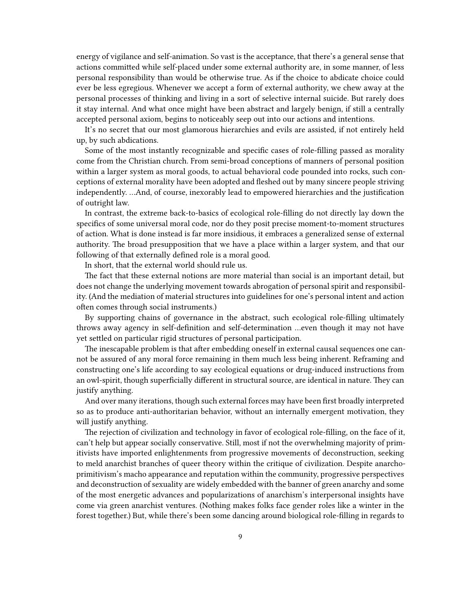energy of vigilance and self-animation. So vast is the acceptance, that there's a general sense that actions committed while self-placed under some external authority are, in some manner, of less personal responsibility than would be otherwise true. As if the choice to abdicate choice could ever be less egregious. Whenever we accept a form of external authority, we chew away at the personal processes of thinking and living in a sort of selective internal suicide. But rarely does it stay internal. And what once might have been abstract and largely benign, if still a centrally accepted personal axiom, begins to noticeably seep out into our actions and intentions.

It's no secret that our most glamorous hierarchies and evils are assisted, if not entirely held up, by such abdications.

Some of the most instantly recognizable and specific cases of role-filling passed as morality come from the Christian church. From semi-broad conceptions of manners of personal position within a larger system as moral goods, to actual behavioral code pounded into rocks, such conceptions of external morality have been adopted and fleshed out by many sincere people striving independently. …And, of course, inexorably lead to empowered hierarchies and the justification of outright law.

In contrast, the extreme back-to-basics of ecological role-filling do not directly lay down the specifics of some universal moral code, nor do they posit precise moment-to-moment structures of action. What is done instead is far more insidious, it embraces a generalized sense of external authority. The broad presupposition that we have a place within a larger system, and that our following of that externally defined role is a moral good.

In short, that the external world should rule us.

The fact that these external notions are more material than social is an important detail, but does not change the underlying movement towards abrogation of personal spirit and responsibility. (And the mediation of material structures into guidelines for one's personal intent and action often comes through social instruments.)

By supporting chains of governance in the abstract, such ecological role-filling ultimately throws away agency in self-definition and self-determination …even though it may not have yet settled on particular rigid structures of personal participation.

The inescapable problem is that after embedding oneself in external causal sequences one cannot be assured of any moral force remaining in them much less being inherent. Reframing and constructing one's life according to say ecological equations or drug-induced instructions from an owl-spirit, though superficially different in structural source, are identical in nature. They can justify anything.

And over many iterations, though such external forces may have been first broadly interpreted so as to produce anti-authoritarian behavior, without an internally emergent motivation, they will justify anything.

The rejection of civilization and technology in favor of ecological role-filling, on the face of it, can't help but appear socially conservative. Still, most if not the overwhelming majority of primitivists have imported enlightenments from progressive movements of deconstruction, seeking to meld anarchist branches of queer theory within the critique of civilization. Despite anarchoprimitivism's macho appearance and reputation within the community, progressive perspectives and deconstruction of sexuality are widely embedded with the banner of green anarchy and some of the most energetic advances and popularizations of anarchism's interpersonal insights have come via green anarchist ventures. (Nothing makes folks face gender roles like a winter in the forest together.) But, while there's been some dancing around biological role-filling in regards to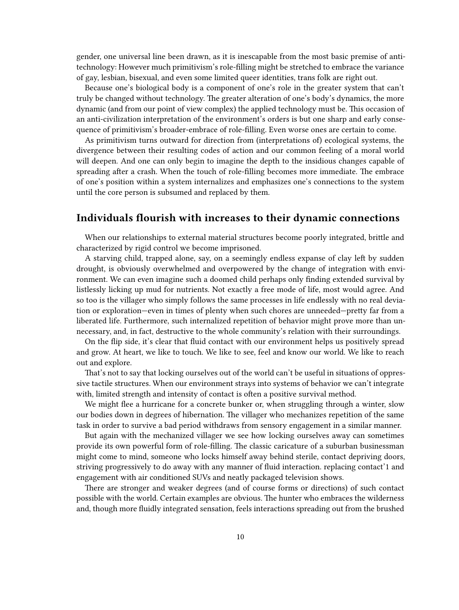gender, one universal line been drawn, as it is inescapable from the most basic premise of antitechnology: However much primitivism's role-filling might be stretched to embrace the variance of gay, lesbian, bisexual, and even some limited queer identities, trans folk are right out.

Because one's biological body is a component of one's role in the greater system that can't truly be changed without technology. The greater alteration of one's body's dynamics, the more dynamic (and from our point of view complex) the applied technology must be. This occasion of an anti-civilization interpretation of the environment's orders is but one sharp and early consequence of primitivism's broader-embrace of role-filling. Even worse ones are certain to come.

As primitivism turns outward for direction from (interpretations of) ecological systems, the divergence between their resulting codes of action and our common feeling of a moral world will deepen. And one can only begin to imagine the depth to the insidious changes capable of spreading after a crash. When the touch of role-filling becomes more immediate. The embrace of one's position within a system internalizes and emphasizes one's connections to the system until the core person is subsumed and replaced by them.

## <span id="page-9-0"></span>**Individuals flourish with increases to their dynamic connections**

When our relationships to external material structures become poorly integrated, brittle and characterized by rigid control we become imprisoned.

A starving child, trapped alone, say, on a seemingly endless expanse of clay left by sudden drought, is obviously overwhelmed and overpowered by the change of integration with environment. We can even imagine such a doomed child perhaps only finding extended survival by listlessly licking up mud for nutrients. Not exactly a free mode of life, most would agree. And so too is the villager who simply follows the same processes in life endlessly with no real deviation or exploration—even in times of plenty when such chores are unneeded—pretty far from a liberated life. Furthermore, such internalized repetition of behavior might prove more than unnecessary, and, in fact, destructive to the whole community's relation with their surroundings.

On the flip side, it's clear that fluid contact with our environment helps us positively spread and grow. At heart, we like to touch. We like to see, feel and know our world. We like to reach out and explore.

That's not to say that locking ourselves out of the world can't be useful in situations of oppressive tactile structures. When our environment strays into systems of behavior we can't integrate with, limited strength and intensity of contact is often a positive survival method.

We might flee a hurricane for a concrete bunker or, when struggling through a winter, slow our bodies down in degrees of hibernation. The villager who mechanizes repetition of the same task in order to survive a bad period withdraws from sensory engagement in a similar manner.

But again with the mechanized villager we see how locking ourselves away can sometimes provide its own powerful form of role-filling. The classic caricature of a suburban businessman might come to mind, someone who locks himself away behind sterile, contact depriving doors, striving progressively to do away with any manner of fluid interaction. replacing contact'1 and engagement with air conditioned SUVs and neatly packaged television shows.

There are stronger and weaker degrees (and of course forms or directions) of such contact possible with the world. Certain examples are obvious. The hunter who embraces the wilderness and, though more fluidly integrated sensation, feels interactions spreading out from the brushed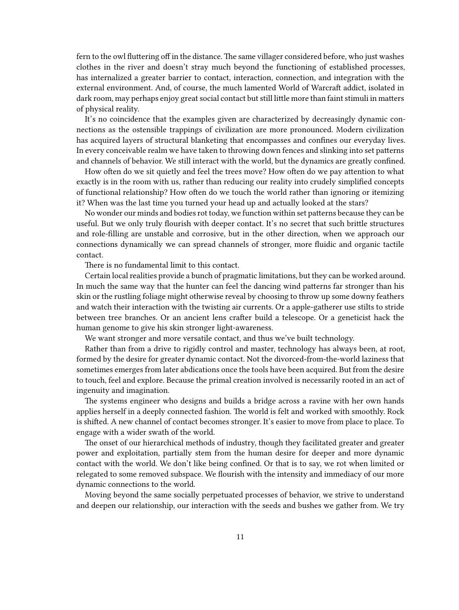fern to the owl fluttering off in the distance. The same villager considered before, who just washes clothes in the river and doesn't stray much beyond the functioning of established processes, has internalized a greater barrier to contact, interaction, connection, and integration with the external environment. And, of course, the much lamented World of Warcraft addict, isolated in dark room, may perhaps enjoy great social contact but still little more than faint stimuli in matters of physical reality.

It's no coincidence that the examples given are characterized by decreasingly dynamic connections as the ostensible trappings of civilization are more pronounced. Modern civilization has acquired layers of structural blanketing that encompasses and confines our everyday lives. In every conceivable realm we have taken to throwing down fences and slinking into set patterns and channels of behavior. We still interact with the world, but the dynamics are greatly confined.

How often do we sit quietly and feel the trees move? How often do we pay attention to what exactly is in the room with us, rather than reducing our reality into crudely simplified concepts of functional relationship? How often do we touch the world rather than ignoring or itemizing it? When was the last time you turned your head up and actually looked at the stars?

No wonder our minds and bodies rot today, we function within set patterns because they can be useful. But we only truly flourish with deeper contact. It's no secret that such brittle structures and role-filling are unstable and corrosive, but in the other direction, when we approach our connections dynamically we can spread channels of stronger, more fluidic and organic tactile contact.

There is no fundamental limit to this contact.

Certain local realities provide a bunch of pragmatic limitations, but they can be worked around. In much the same way that the hunter can feel the dancing wind patterns far stronger than his skin or the rustling foliage might otherwise reveal by choosing to throw up some downy feathers and watch their interaction with the twisting air currents. Or a apple-gatherer use stilts to stride between tree branches. Or an ancient lens crafter build a telescope. Or a geneticist hack the human genome to give his skin stronger light-awareness.

We want stronger and more versatile contact, and thus we've built technology.

Rather than from a drive to rigidly control and master, technology has always been, at root, formed by the desire for greater dynamic contact. Not the divorced-from-the-world laziness that sometimes emerges from later abdications once the tools have been acquired. But from the desire to touch, feel and explore. Because the primal creation involved is necessarily rooted in an act of ingenuity and imagination.

The systems engineer who designs and builds a bridge across a ravine with her own hands applies herself in a deeply connected fashion. The world is felt and worked with smoothly. Rock is shifted. A new channel of contact becomes stronger. It's easier to move from place to place. To engage with a wider swath of the world.

The onset of our hierarchical methods of industry, though they facilitated greater and greater power and exploitation, partially stem from the human desire for deeper and more dynamic contact with the world. We don't like being confined. Or that is to say, we rot when limited or relegated to some removed subspace. We flourish with the intensity and immediacy of our more dynamic connections to the world.

Moving beyond the same socially perpetuated processes of behavior, we strive to understand and deepen our relationship, our interaction with the seeds and bushes we gather from. We try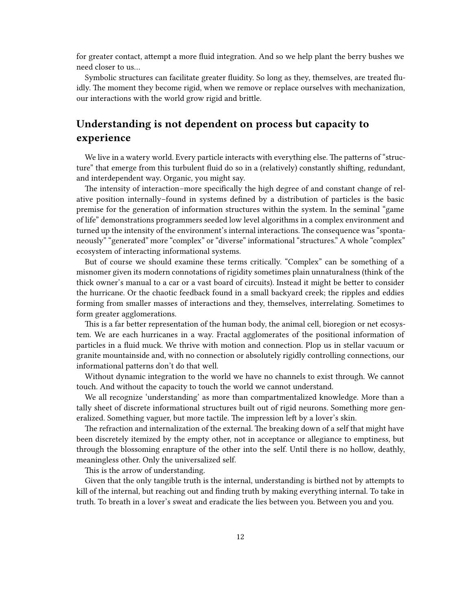for greater contact, attempt a more fluid integration. And so we help plant the berry bushes we need closer to us…

Symbolic structures can facilitate greater fluidity. So long as they, themselves, are treated fluidly. The moment they become rigid, when we remove or replace ourselves with mechanization, our interactions with the world grow rigid and brittle.

## <span id="page-11-0"></span>**Understanding is not dependent on process but capacity to experience**

We live in a watery world. Every particle interacts with everything else. The patterns of "structure" that emerge from this turbulent fluid do so in a (relatively) constantly shifting, redundant, and interdependent way. Organic, you might say.

The intensity of interaction–more specifically the high degree of and constant change of relative position internally–found in systems defined by a distribution of particles is the basic premise for the generation of information structures within the system. In the seminal "game of life" demonstrations programmers seeded low level algorithms in a complex environment and turned up the intensity of the environment's internal interactions. The consequence was "spontaneously" "generated" more "complex" or "diverse" informational "structures." A whole "complex" ecosystem of interacting informational systems.

But of course we should examine these terms critically. "Complex" can be something of a misnomer given its modern connotations of rigidity sometimes plain unnaturalness (think of the thick owner's manual to a car or a vast board of circuits). Instead it might be better to consider the hurricane. Or the chaotic feedback found in a small backyard creek; the ripples and eddies forming from smaller masses of interactions and they, themselves, interrelating. Sometimes to form greater agglomerations.

This is a far better representation of the human body, the animal cell, bioregion or net ecosystem. We are each hurricanes in a way. Fractal agglomerates of the positional information of particles in a fluid muck. We thrive with motion and connection. Plop us in stellar vacuum or granite mountainside and, with no connection or absolutely rigidly controlling connections, our informational patterns don't do that well.

Without dynamic integration to the world we have no channels to exist through. We cannot touch. And without the capacity to touch the world we cannot understand.

We all recognize 'understanding' as more than compartmentalized knowledge. More than a tally sheet of discrete informational structures built out of rigid neurons. Something more generalized. Something vaguer, but more tactile. The impression left by a lover's skin.

The refraction and internalization of the external. The breaking down of a self that might have been discretely itemized by the empty other, not in acceptance or allegiance to emptiness, but through the blossoming enrapture of the other into the self. Until there is no hollow, deathly, meaningless other. Only the universalized self.

This is the arrow of understanding.

Given that the only tangible truth is the internal, understanding is birthed not by attempts to kill of the internal, but reaching out and finding truth by making everything internal. To take in truth. To breath in a lover's sweat and eradicate the lies between you. Between you and you.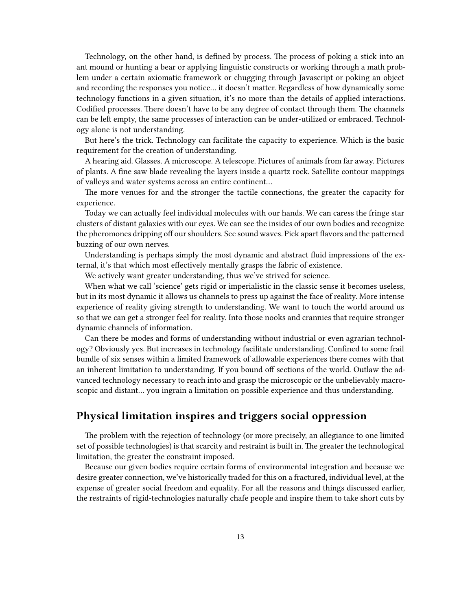Technology, on the other hand, is defined by process. The process of poking a stick into an ant mound or hunting a bear or applying linguistic constructs or working through a math problem under a certain axiomatic framework or chugging through Javascript or poking an object and recording the responses you notice… it doesn't matter. Regardless of how dynamically some technology functions in a given situation, it's no more than the details of applied interactions. Codified processes. There doesn't have to be any degree of contact through them. The channels can be left empty, the same processes of interaction can be under-utilized or embraced. Technology alone is not understanding.

But here's the trick. Technology can facilitate the capacity to experience. Which is the basic requirement for the creation of understanding.

A hearing aid. Glasses. A microscope. A telescope. Pictures of animals from far away. Pictures of plants. A fine saw blade revealing the layers inside a quartz rock. Satellite contour mappings of valleys and water systems across an entire continent…

The more venues for and the stronger the tactile connections, the greater the capacity for experience.

Today we can actually feel individual molecules with our hands. We can caress the fringe star clusters of distant galaxies with our eyes. We can see the insides of our own bodies and recognize the pheromones dripping off our shoulders. See sound waves. Pick apart flavors and the patterned buzzing of our own nerves.

Understanding is perhaps simply the most dynamic and abstract fluid impressions of the external, it's that which most effectively mentally grasps the fabric of existence.

We actively want greater understanding, thus we've strived for science.

When what we call 'science' gets rigid or imperialistic in the classic sense it becomes useless, but in its most dynamic it allows us channels to press up against the face of reality. More intense experience of reality giving strength to understanding. We want to touch the world around us so that we can get a stronger feel for reality. Into those nooks and crannies that require stronger dynamic channels of information.

Can there be modes and forms of understanding without industrial or even agrarian technology? Obviously yes. But increases in technology facilitate understanding. Confined to some frail bundle of six senses within a limited framework of allowable experiences there comes with that an inherent limitation to understanding. If you bound off sections of the world. Outlaw the advanced technology necessary to reach into and grasp the microscopic or the unbelievably macroscopic and distant… you ingrain a limitation on possible experience and thus understanding.

## <span id="page-12-0"></span>**Physical limitation inspires and triggers social oppression**

The problem with the rejection of technology (or more precisely, an allegiance to one limited set of possible technologies) is that scarcity and restraint is built in. The greater the technological limitation, the greater the constraint imposed.

Because our given bodies require certain forms of environmental integration and because we desire greater connection, we've historically traded for this on a fractured, individual level, at the expense of greater social freedom and equality. For all the reasons and things discussed earlier, the restraints of rigid-technologies naturally chafe people and inspire them to take short cuts by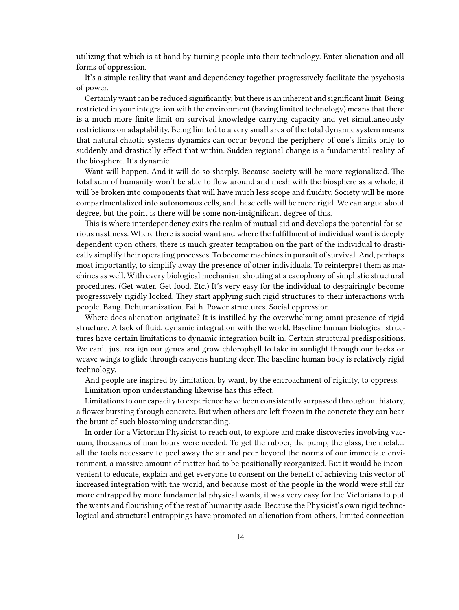utilizing that which is at hand by turning people into their technology. Enter alienation and all forms of oppression.

It's a simple reality that want and dependency together progressively facilitate the psychosis of power.

Certainly want can be reduced significantly, but there is an inherent and significant limit. Being restricted in your integration with the environment (having limited technology) means that there is a much more finite limit on survival knowledge carrying capacity and yet simultaneously restrictions on adaptability. Being limited to a very small area of the total dynamic system means that natural chaotic systems dynamics can occur beyond the periphery of one's limits only to suddenly and drastically effect that within. Sudden regional change is a fundamental reality of the biosphere. It's dynamic.

Want will happen. And it will do so sharply. Because society will be more regionalized. The total sum of humanity won't be able to flow around and mesh with the biosphere as a whole, it will be broken into components that will have much less scope and fluidity. Society will be more compartmentalized into autonomous cells, and these cells will be more rigid. We can argue about degree, but the point is there will be some non-insignificant degree of this.

This is where interdependency exits the realm of mutual aid and develops the potential for serious nastiness. Where there is social want and where the fulfillment of individual want is deeply dependent upon others, there is much greater temptation on the part of the individual to drastically simplify their operating processes. To become machines in pursuit of survival. And, perhaps most importantly, to simplify away the presence of other individuals. To reinterpret them as machines as well. With every biological mechanism shouting at a cacophony of simplistic structural procedures. (Get water. Get food. Etc.) It's very easy for the individual to despairingly become progressively rigidly locked. They start applying such rigid structures to their interactions with people. Bang. Dehumanization. Faith. Power structures. Social oppression.

Where does alienation originate? It is instilled by the overwhelming omni-presence of rigid structure. A lack of fluid, dynamic integration with the world. Baseline human biological structures have certain limitations to dynamic integration built in. Certain structural predispositions. We can't just realign our genes and grow chlorophyll to take in sunlight through our backs or weave wings to glide through canyons hunting deer. The baseline human body is relatively rigid technology.

And people are inspired by limitation, by want, by the encroachment of rigidity, to oppress. Limitation upon understanding likewise has this effect.

Limitations to our capacity to experience have been consistently surpassed throughout history, a flower bursting through concrete. But when others are left frozen in the concrete they can bear the brunt of such blossoming understanding.

In order for a Victorian Physicist to reach out, to explore and make discoveries involving vacuum, thousands of man hours were needed. To get the rubber, the pump, the glass, the metal… all the tools necessary to peel away the air and peer beyond the norms of our immediate environment, a massive amount of matter had to be positionally reorganized. But it would be inconvenient to educate, explain and get everyone to consent on the benefit of achieving this vector of increased integration with the world, and because most of the people in the world were still far more entrapped by more fundamental physical wants, it was very easy for the Victorians to put the wants and flourishing of the rest of humanity aside. Because the Physicist's own rigid technological and structural entrappings have promoted an alienation from others, limited connection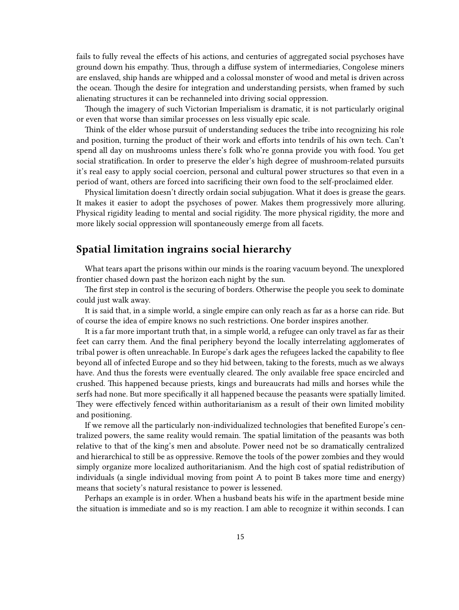fails to fully reveal the effects of his actions, and centuries of aggregated social psychoses have ground down his empathy. Thus, through a diffuse system of intermediaries, Congolese miners are enslaved, ship hands are whipped and a colossal monster of wood and metal is driven across the ocean. Though the desire for integration and understanding persists, when framed by such alienating structures it can be rechanneled into driving social oppression.

Though the imagery of such Victorian Imperialism is dramatic, it is not particularly original or even that worse than similar processes on less visually epic scale.

Think of the elder whose pursuit of understanding seduces the tribe into recognizing his role and position, turning the product of their work and efforts into tendrils of his own tech. Can't spend all day on mushrooms unless there's folk who're gonna provide you with food. You get social stratification. In order to preserve the elder's high degree of mushroom-related pursuits it's real easy to apply social coercion, personal and cultural power structures so that even in a period of want, others are forced into sacrificing their own food to the self-proclaimed elder.

Physical limitation doesn't directly ordain social subjugation. What it does is grease the gears. It makes it easier to adopt the psychoses of power. Makes them progressively more alluring. Physical rigidity leading to mental and social rigidity. The more physical rigidity, the more and more likely social oppression will spontaneously emerge from all facets.

## <span id="page-14-0"></span>**Spatial limitation ingrains social hierarchy**

What tears apart the prisons within our minds is the roaring vacuum beyond. The unexplored frontier chased down past the horizon each night by the sun.

The first step in control is the securing of borders. Otherwise the people you seek to dominate could just walk away.

It is said that, in a simple world, a single empire can only reach as far as a horse can ride. But of course the idea of empire knows no such restrictions. One border inspires another.

It is a far more important truth that, in a simple world, a refugee can only travel as far as their feet can carry them. And the final periphery beyond the locally interrelating agglomerates of tribal power is often unreachable. In Europe's dark ages the refugees lacked the capability to flee beyond all of infected Europe and so they hid between, taking to the forests, much as we always have. And thus the forests were eventually cleared. The only available free space encircled and crushed. This happened because priests, kings and bureaucrats had mills and horses while the serfs had none. But more specifically it all happened because the peasants were spatially limited. They were effectively fenced within authoritarianism as a result of their own limited mobility and positioning.

If we remove all the particularly non-individualized technologies that benefited Europe's centralized powers, the same reality would remain. The spatial limitation of the peasants was both relative to that of the king's men and absolute. Power need not be so dramatically centralized and hierarchical to still be as oppressive. Remove the tools of the power zombies and they would simply organize more localized authoritarianism. And the high cost of spatial redistribution of individuals (a single individual moving from point A to point B takes more time and energy) means that society's natural resistance to power is lessened.

Perhaps an example is in order. When a husband beats his wife in the apartment beside mine the situation is immediate and so is my reaction. I am able to recognize it within seconds. I can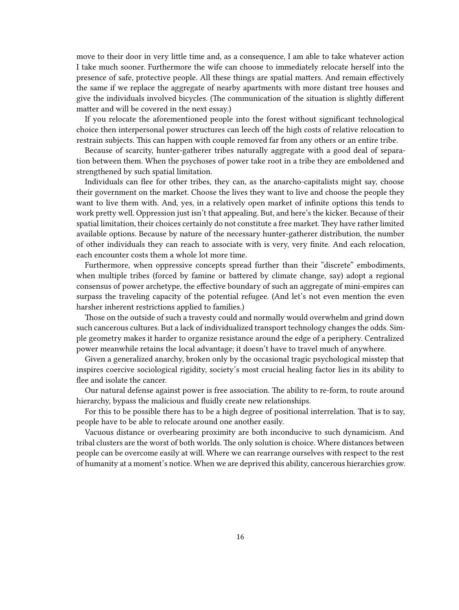move to their door in very little time and, as a consequence, I am able to take whatever action I take much sooner. Furthermore the wife can choose to immediately relocate herself into the presence of safe, protective people. All these things are spatial matters. And remain effectively the same if we replace the aggregate of nearby apartments with more distant tree houses and give the individuals involved bicycles. (The communication of the situation is slightly different matter and will be covered in the next essay.)

If you relocate the aforementioned people into the forest without significant technological choice then interpersonal power structures can leech off the high costs of relative relocation to restrain subjects. This can happen with couple removed far from any others or an entire tribe.

Because of scarcity, hunter-gatherer tribes naturally aggregate with a good deal of separation between them. When the psychoses of power take root in a tribe they are emboldened and strengthened by such spatial limitation.

Individuals can flee for other tribes, they can, as the anarcho-capitalists might say, choose their government on the market. Choose the lives they want to live and choose the people they want to live them with. And, yes, in a relatively open market of infinite options this tends to work pretty well. Oppression just isn't that appealing. But, and here's the kicker. Because of their spatial limitation, their choices certainly do not constitute a free market. They have rather limited available options. Because by nature of the necessary hunter-gatherer distribution, the number of other individuals they can reach to associate with is very, very finite. And each relocation, each encounter costs them a whole lot more time.

Furthermore, when oppressive concepts spread further than their "discrete" embodiments, when multiple tribes (forced by famine or battered by climate change, say) adopt a regional consensus of power archetype, the effective boundary of such an aggregate of mini-empires can surpass the traveling capacity of the potential refugee. (And let's not even mention the even harsher inherent restrictions applied to families.)

Those on the outside of such a travesty could and normally would overwhelm and grind down such cancerous cultures. But a lack of individualized transport technology changes the odds. Simple geometry makes it harder to organize resistance around the edge of a periphery. Centralized power meanwhile retains the local advantage; it doesn't have to travel much of anywhere.

Given a generalized anarchy, broken only by the occasional tragic psychological misstep that inspires coercive sociological rigidity, society's most crucial healing factor lies in its ability to flee and isolate the cancer.

Our natural defense against power is free association. The ability to re-form, to route around hierarchy, bypass the malicious and fluidly create new relationships.

For this to be possible there has to be a high degree of positional interrelation. That is to say, people have to be able to relocate around one another easily.

Vacuous distance or overbearing proximity are both inconducive to such dynamicism. And tribal clusters are the worst of both worlds. The only solution is choice. Where distances between people can be overcome easily at will. Where we can rearrange ourselves with respect to the rest of humanity at a moment's notice. When we are deprived this ability, cancerous hierarchies grow.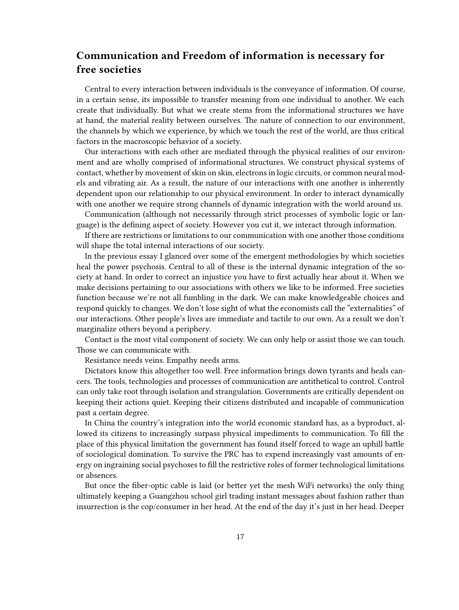# <span id="page-16-0"></span>**Communication and Freedom of information is necessary for free societies**

Central to every interaction between individuals is the conveyance of information. Of course, in a certain sense, its impossible to transfer meaning from one individual to another. We each create that individually. But what we create stems from the informational structures we have at hand, the material reality between ourselves. The nature of connection to our environment, the channels by which we experience, by which we touch the rest of the world, are thus critical factors in the macroscopic behavior of a society.

Our interactions with each other are mediated through the physical realities of our environment and are wholly comprised of informational structures. We construct physical systems of contact, whether by movement of skin on skin, electrons in logic circuits, or common neural models and vibrating air. As a result, the nature of our interactions with one another is inherently dependent upon our relationship to our physical environment. In order to interact dynamically with one another we require strong channels of dynamic integration with the world around us.

Communication (although not necessarily through strict processes of symbolic logic or language) is the defining aspect of society. However you cut it, we interact through information.

If there are restrictions or limitations to our communication with one another those conditions will shape the total internal interactions of our society.

In the previous essay I glanced over some of the emergent methodologies by which societies heal the power psychosis. Central to all of these is the internal dynamic integration of the society at hand. In order to correct an injustice you have to first actually hear about it. When we make decisions pertaining to our associations with others we like to be informed. Free societies function because we're not all fumbling in the dark. We can make knowledgeable choices and respond quickly to changes. We don't lose sight of what the economists call the "externalities" of our interactions. Other people's lives are immediate and tactile to our own. As a result we don't marginalize others beyond a periphery.

Contact is the most vital component of society. We can only help or assist those we can touch. Those we can communicate with.

Resistance needs veins. Empathy needs arms.

Dictators know this altogether too well. Free information brings down tyrants and heals cancers. The tools, technologies and processes of communication are antithetical to control. Control can only take root through isolation and strangulation. Governments are critically dependent on keeping their actions quiet. Keeping their citizens distributed and incapable of communication past a certain degree.

In China the country's integration into the world economic standard has, as a byproduct, allowed its citizens to increasingly surpass physical impediments to communication. To fill the place of this physical limitation the government has found itself forced to wage an uphill battle of sociological domination. To survive the PRC has to expend increasingly vast amounts of energy on ingraining social psychoses to fill the restrictive roles of former technological limitations or absences.

But once the fiber-optic cable is laid (or better yet the mesh WiFi networks) the only thing ultimately keeping a Guangzhou school girl trading instant messages about fashion rather than insurrection is the cop/consumer in her head. At the end of the day it's just in her head. Deeper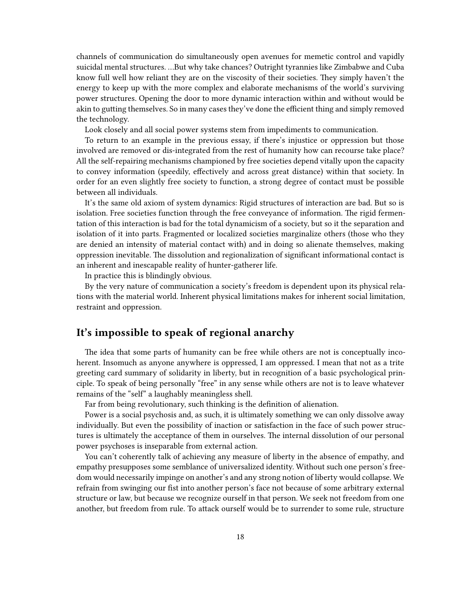channels of communication do simultaneously open avenues for memetic control and vapidly suicidal mental structures. …But why take chances? Outright tyrannies like Zimbabwe and Cuba know full well how reliant they are on the viscosity of their societies. They simply haven't the energy to keep up with the more complex and elaborate mechanisms of the world's surviving power structures. Opening the door to more dynamic interaction within and without would be akin to gutting themselves. So in many cases they've done the efficient thing and simply removed the technology.

Look closely and all social power systems stem from impediments to communication.

To return to an example in the previous essay, if there's injustice or oppression but those involved are removed or dis-integrated from the rest of humanity how can recourse take place? All the self-repairing mechanisms championed by free societies depend vitally upon the capacity to convey information (speedily, effectively and across great distance) within that society. In order for an even slightly free society to function, a strong degree of contact must be possible between all individuals.

It's the same old axiom of system dynamics: Rigid structures of interaction are bad. But so is isolation. Free societies function through the free conveyance of information. The rigid fermentation of this interaction is bad for the total dynamicism of a society, but so it the separation and isolation of it into parts. Fragmented or localized societies marginalize others (those who they are denied an intensity of material contact with) and in doing so alienate themselves, making oppression inevitable. The dissolution and regionalization of significant informational contact is an inherent and inescapable reality of hunter-gatherer life.

In practice this is blindingly obvious.

By the very nature of communication a society's freedom is dependent upon its physical relations with the material world. Inherent physical limitations makes for inherent social limitation, restraint and oppression.

#### <span id="page-17-0"></span>**It's impossible to speak of regional anarchy**

The idea that some parts of humanity can be free while others are not is conceptually incoherent. Insomuch as anyone anywhere is oppressed, I am oppressed. I mean that not as a trite greeting card summary of solidarity in liberty, but in recognition of a basic psychological principle. To speak of being personally "free" in any sense while others are not is to leave whatever remains of the "self" a laughably meaningless shell.

Far from being revolutionary, such thinking is the definition of alienation.

Power is a social psychosis and, as such, it is ultimately something we can only dissolve away individually. But even the possibility of inaction or satisfaction in the face of such power structures is ultimately the acceptance of them in ourselves. The internal dissolution of our personal power psychoses is inseparable from external action.

You can't coherently talk of achieving any measure of liberty in the absence of empathy, and empathy presupposes some semblance of universalized identity. Without such one person's freedom would necessarily impinge on another's and any strong notion of liberty would collapse. We refrain from swinging our fist into another person's face not because of some arbitrary external structure or law, but because we recognize ourself in that person. We seek not freedom from one another, but freedom from rule. To attack ourself would be to surrender to some rule, structure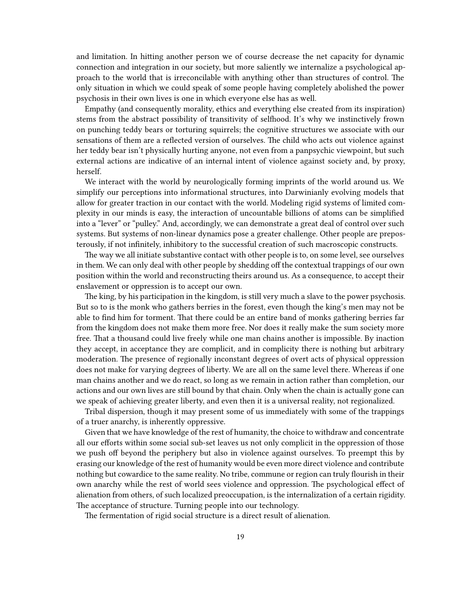and limitation. In hitting another person we of course decrease the net capacity for dynamic connection and integration in our society, but more saliently we internalize a psychological approach to the world that is irreconcilable with anything other than structures of control. The only situation in which we could speak of some people having completely abolished the power psychosis in their own lives is one in which everyone else has as well.

Empathy (and consequently morality, ethics and everything else created from its inspiration) stems from the abstract possibility of transitivity of selfhood. It's why we instinctively frown on punching teddy bears or torturing squirrels; the cognitive structures we associate with our sensations of them are a reflected version of ourselves. The child who acts out violence against her teddy bear isn't physically hurting anyone, not even from a panpsychic viewpoint, but such external actions are indicative of an internal intent of violence against society and, by proxy, herself.

We interact with the world by neurologically forming imprints of the world around us. We simplify our perceptions into informational structures, into Darwinianly evolving models that allow for greater traction in our contact with the world. Modeling rigid systems of limited complexity in our minds is easy, the interaction of uncountable billions of atoms can be simplified into a "lever" or "pulley." And, accordingly, we can demonstrate a great deal of control over such systems. But systems of non-linear dynamics pose a greater challenge. Other people are preposterously, if not infinitely, inhibitory to the successful creation of such macroscopic constructs.

The way we all initiate substantive contact with other people is to, on some level, see ourselves in them. We can only deal with other people by shedding off the contextual trappings of our own position within the world and reconstructing theirs around us. As a consequence, to accept their enslavement or oppression is to accept our own.

The king, by his participation in the kingdom, is still very much a slave to the power psychosis. But so to is the monk who gathers berries in the forest, even though the king's men may not be able to find him for torment. That there could be an entire band of monks gathering berries far from the kingdom does not make them more free. Nor does it really make the sum society more free. That a thousand could live freely while one man chains another is impossible. By inaction they accept, in acceptance they are complicit, and in complicity there is nothing but arbitrary moderation. The presence of regionally inconstant degrees of overt acts of physical oppression does not make for varying degrees of liberty. We are all on the same level there. Whereas if one man chains another and we do react, so long as we remain in action rather than completion, our actions and our own lives are still bound by that chain. Only when the chain is actually gone can we speak of achieving greater liberty, and even then it is a universal reality, not regionalized.

Tribal dispersion, though it may present some of us immediately with some of the trappings of a truer anarchy, is inherently oppressive.

Given that we have knowledge of the rest of humanity, the choice to withdraw and concentrate all our efforts within some social sub-set leaves us not only complicit in the oppression of those we push off beyond the periphery but also in violence against ourselves. To preempt this by erasing our knowledge of the rest of humanity would be even more direct violence and contribute nothing but cowardice to the same reality. No tribe, commune or region can truly flourish in their own anarchy while the rest of world sees violence and oppression. The psychological effect of alienation from others, of such localized preoccupation, is the internalization of a certain rigidity. The acceptance of structure. Turning people into our technology.

The fermentation of rigid social structure is a direct result of alienation.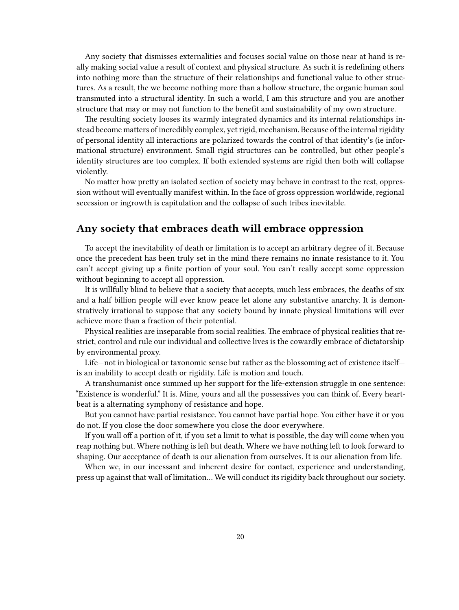Any society that dismisses externalities and focuses social value on those near at hand is really making social value a result of context and physical structure. As such it is redefining others into nothing more than the structure of their relationships and functional value to other structures. As a result, the we become nothing more than a hollow structure, the organic human soul transmuted into a structural identity. In such a world, I am this structure and you are another structure that may or may not function to the benefit and sustainability of my own structure.

The resulting society looses its warmly integrated dynamics and its internal relationships instead become matters of incredibly complex, yet rigid, mechanism. Because of the internal rigidity of personal identity all interactions are polarized towards the control of that identity's (ie informational structure) environment. Small rigid structures can be controlled, but other people's identity structures are too complex. If both extended systems are rigid then both will collapse violently.

No matter how pretty an isolated section of society may behave in contrast to the rest, oppression without will eventually manifest within. In the face of gross oppression worldwide, regional secession or ingrowth is capitulation and the collapse of such tribes inevitable.

## <span id="page-19-0"></span>**Any society that embraces death will embrace oppression**

To accept the inevitability of death or limitation is to accept an arbitrary degree of it. Because once the precedent has been truly set in the mind there remains no innate resistance to it. You can't accept giving up a finite portion of your soul. You can't really accept some oppression without beginning to accept all oppression.

It is willfully blind to believe that a society that accepts, much less embraces, the deaths of six and a half billion people will ever know peace let alone any substantive anarchy. It is demonstratively irrational to suppose that any society bound by innate physical limitations will ever achieve more than a fraction of their potential.

Physical realities are inseparable from social realities. The embrace of physical realities that restrict, control and rule our individual and collective lives is the cowardly embrace of dictatorship by environmental proxy.

Life—not in biological or taxonomic sense but rather as the blossoming act of existence itself is an inability to accept death or rigidity. Life is motion and touch.

A transhumanist once summed up her support for the life-extension struggle in one sentence: "Existence is wonderful." It is. Mine, yours and all the possessives you can think of. Every heartbeat is a alternating symphony of resistance and hope.

But you cannot have partial resistance. You cannot have partial hope. You either have it or you do not. If you close the door somewhere you close the door everywhere.

If you wall off a portion of it, if you set a limit to what is possible, the day will come when you reap nothing but. Where nothing is left but death. Where we have nothing left to look forward to shaping. Our acceptance of death is our alienation from ourselves. It is our alienation from life.

When we, in our incessant and inherent desire for contact, experience and understanding, press up against that wall of limitation… We will conduct its rigidity back throughout our society.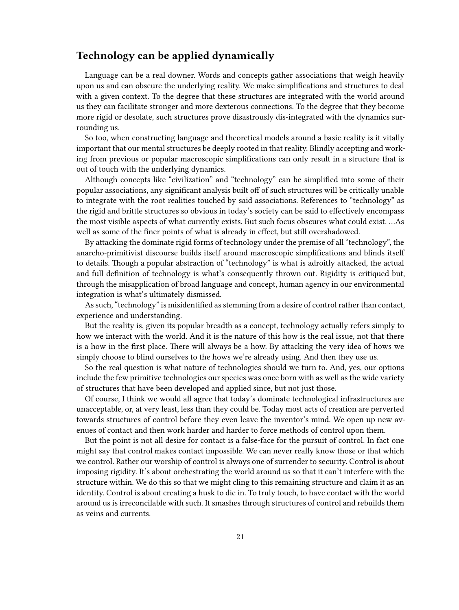## <span id="page-20-0"></span>**Technology can be applied dynamically**

Language can be a real downer. Words and concepts gather associations that weigh heavily upon us and can obscure the underlying reality. We make simplifications and structures to deal with a given context. To the degree that these structures are integrated with the world around us they can facilitate stronger and more dexterous connections. To the degree that they become more rigid or desolate, such structures prove disastrously dis-integrated with the dynamics surrounding us.

So too, when constructing language and theoretical models around a basic reality is it vitally important that our mental structures be deeply rooted in that reality. Blindly accepting and working from previous or popular macroscopic simplifications can only result in a structure that is out of touch with the underlying dynamics.

Although concepts like "civilization" and "technology" can be simplified into some of their popular associations, any significant analysis built off of such structures will be critically unable to integrate with the root realities touched by said associations. References to "technology" as the rigid and brittle structures so obvious in today's society can be said to effectively encompass the most visible aspects of what currently exists. But such focus obscures what could exist. …As well as some of the finer points of what is already in effect, but still overshadowed.

By attacking the dominate rigid forms of technology under the premise of all "technology", the anarcho-primitivist discourse builds itself around macroscopic simplifications and blinds itself to details. Though a popular abstraction of "technology" is what is adroitly attacked, the actual and full definition of technology is what's consequently thrown out. Rigidity is critiqued but, through the misapplication of broad language and concept, human agency in our environmental integration is what's ultimately dismissed.

As such, "technology" is misidentified as stemming from a desire of control rather than contact, experience and understanding.

But the reality is, given its popular breadth as a concept, technology actually refers simply to how we interact with the world. And it is the nature of this how is the real issue, not that there is a how in the first place. There will always be a how. By attacking the very idea of hows we simply choose to blind ourselves to the hows we're already using. And then they use us.

So the real question is what nature of technologies should we turn to. And, yes, our options include the few primitive technologies our species was once born with as well as the wide variety of structures that have been developed and applied since, but not just those.

Of course, I think we would all agree that today's dominate technological infrastructures are unacceptable, or, at very least, less than they could be. Today most acts of creation are perverted towards structures of control before they even leave the inventor's mind. We open up new avenues of contact and then work harder and harder to force methods of control upon them.

But the point is not all desire for contact is a false-face for the pursuit of control. In fact one might say that control makes contact impossible. We can never really know those or that which we control. Rather our worship of control is always one of surrender to security. Control is about imposing rigidity. It's about orchestrating the world around us so that it can't interfere with the structure within. We do this so that we might cling to this remaining structure and claim it as an identity. Control is about creating a husk to die in. To truly touch, to have contact with the world around us is irreconcilable with such. It smashes through structures of control and rebuilds them as veins and currents.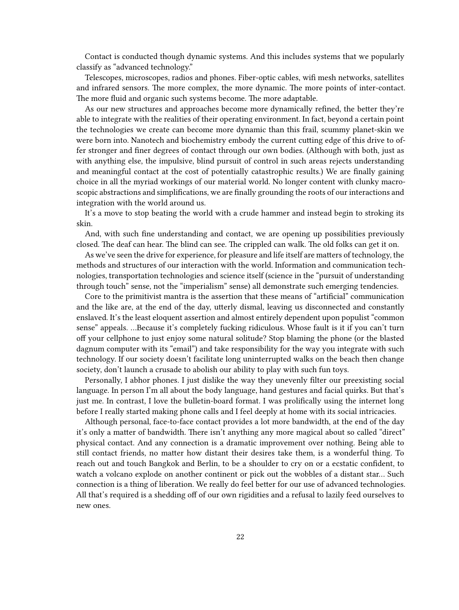Contact is conducted though dynamic systems. And this includes systems that we popularly classify as "advanced technology."

Telescopes, microscopes, radios and phones. Fiber-optic cables, wifi mesh networks, satellites and infrared sensors. The more complex, the more dynamic. The more points of inter-contact. The more fluid and organic such systems become. The more adaptable.

As our new structures and approaches become more dynamically refined, the better they're able to integrate with the realities of their operating environment. In fact, beyond a certain point the technologies we create can become more dynamic than this frail, scummy planet-skin we were born into. Nanotech and biochemistry embody the current cutting edge of this drive to offer stronger and finer degrees of contact through our own bodies. (Although with both, just as with anything else, the impulsive, blind pursuit of control in such areas rejects understanding and meaningful contact at the cost of potentially catastrophic results.) We are finally gaining choice in all the myriad workings of our material world. No longer content with clunky macroscopic abstractions and simplifications, we are finally grounding the roots of our interactions and integration with the world around us.

It's a move to stop beating the world with a crude hammer and instead begin to stroking its skin.

And, with such fine understanding and contact, we are opening up possibilities previously closed. The deaf can hear. The blind can see. The crippled can walk. The old folks can get it on.

As we've seen the drive for experience, for pleasure and life itself are matters of technology, the methods and structures of our interaction with the world. Information and communication technologies, transportation technologies and science itself (science in the "pursuit of understanding through touch" sense, not the "imperialism" sense) all demonstrate such emerging tendencies.

Core to the primitivist mantra is the assertion that these means of "artificial" communication and the like are, at the end of the day, utterly dismal, leaving us disconnected and constantly enslaved. It's the least eloquent assertion and almost entirely dependent upon populist "common sense" appeals. …Because it's completely fucking ridiculous. Whose fault is it if you can't turn off your cellphone to just enjoy some natural solitude? Stop blaming the phone (or the blasted dagnum computer with its "email") and take responsibility for the way you integrate with such technology. If our society doesn't facilitate long uninterrupted walks on the beach then change society, don't launch a crusade to abolish our ability to play with such fun toys.

Personally, I abhor phones. I just dislike the way they unevenly filter our preexisting social language. In person I'm all about the body language, hand gestures and facial quirks. But that's just me. In contrast, I love the bulletin-board format. I was prolifically using the internet long before I really started making phone calls and I feel deeply at home with its social intricacies.

Although personal, face-to-face contact provides a lot more bandwidth, at the end of the day it's only a matter of bandwidth. There isn't anything any more magical about so called "direct" physical contact. And any connection is a dramatic improvement over nothing. Being able to still contact friends, no matter how distant their desires take them, is a wonderful thing. To reach out and touch Bangkok and Berlin, to be a shoulder to cry on or a ecstatic confident, to watch a volcano explode on another continent or pick out the wobbles of a distant star… Such connection is a thing of liberation. We really do feel better for our use of advanced technologies. All that's required is a shedding off of our own rigidities and a refusal to lazily feed ourselves to new ones.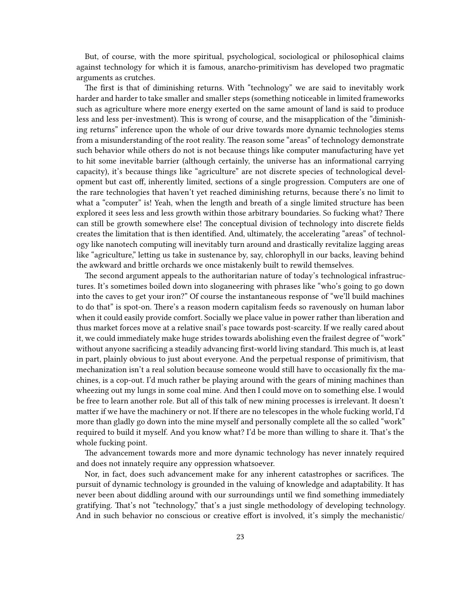But, of course, with the more spiritual, psychological, sociological or philosophical claims against technology for which it is famous, anarcho-primitivism has developed two pragmatic arguments as crutches.

The first is that of diminishing returns. With "technology" we are said to inevitably work harder and harder to take smaller and smaller steps (something noticeable in limited frameworks such as agriculture where more energy exerted on the same amount of land is said to produce less and less per-investment). This is wrong of course, and the misapplication of the "diminishing returns" inference upon the whole of our drive towards more dynamic technologies stems from a misunderstanding of the root reality. The reason some "areas" of technology demonstrate such behavior while others do not is not because things like computer manufacturing have yet to hit some inevitable barrier (although certainly, the universe has an informational carrying capacity), it's because things like "agriculture" are not discrete species of technological development but cast off, inherently limited, sections of a single progression. Computers are one of the rare technologies that haven't yet reached diminishing returns, because there's no limit to what a "computer" is! Yeah, when the length and breath of a single limited structure has been explored it sees less and less growth within those arbitrary boundaries. So fucking what? There can still be growth somewhere else! The conceptual division of technology into discrete fields creates the limitation that is then identified. And, ultimately, the accelerating "areas" of technology like nanotech computing will inevitably turn around and drastically revitalize lagging areas like "agriculture," letting us take in sustenance by, say, chlorophyll in our backs, leaving behind the awkward and brittle orchards we once mistakenly built to rewild themselves.

The second argument appeals to the authoritarian nature of today's technological infrastructures. It's sometimes boiled down into sloganeering with phrases like "who's going to go down into the caves to get your iron?" Of course the instantaneous response of "we'll build machines to do that" is spot-on. There's a reason modern capitalism feeds so ravenously on human labor when it could easily provide comfort. Socially we place value in power rather than liberation and thus market forces move at a relative snail's pace towards post-scarcity. If we really cared about it, we could immediately make huge strides towards abolishing even the frailest degree of "work" without anyone sacrificing a steadily advancing first-world living standard. This much is, at least in part, plainly obvious to just about everyone. And the perpetual response of primitivism, that mechanization isn't a real solution because someone would still have to occasionally fix the machines, is a cop-out. I'd much rather be playing around with the gears of mining machines than wheezing out my lungs in some coal mine. And then I could move on to something else. I would be free to learn another role. But all of this talk of new mining processes is irrelevant. It doesn't matter if we have the machinery or not. If there are no telescopes in the whole fucking world, I'd more than gladly go down into the mine myself and personally complete all the so called "work" required to build it myself. And you know what? I'd be more than willing to share it. That's the whole fucking point.

The advancement towards more and more dynamic technology has never innately required and does not innately require any oppression whatsoever.

Nor, in fact, does such advancement make for any inherent catastrophes or sacrifices. The pursuit of dynamic technology is grounded in the valuing of knowledge and adaptability. It has never been about diddling around with our surroundings until we find something immediately gratifying. That's not "technology," that's a just single methodology of developing technology. And in such behavior no conscious or creative effort is involved, it's simply the mechanistic/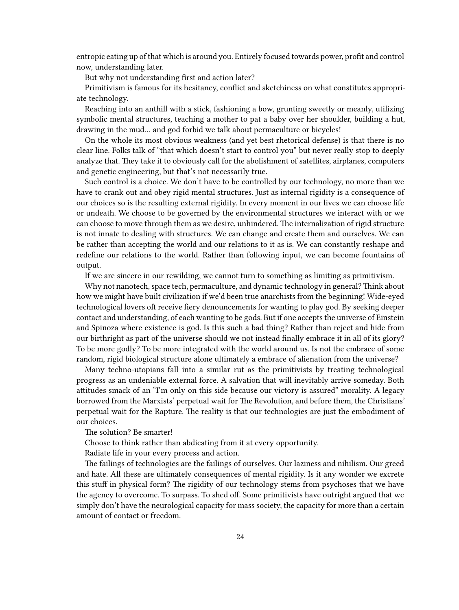entropic eating up of that which is around you. Entirely focused towards power, profit and control now, understanding later.

But why not understanding first and action later?

Primitivism is famous for its hesitancy, conflict and sketchiness on what constitutes appropriate technology.

Reaching into an anthill with a stick, fashioning a bow, grunting sweetly or meanly, utilizing symbolic mental structures, teaching a mother to pat a baby over her shoulder, building a hut, drawing in the mud… and god forbid we talk about permaculture or bicycles!

On the whole its most obvious weakness (and yet best rhetorical defense) is that there is no clear line. Folks talk of "that which doesn't start to control you" but never really stop to deeply analyze that. They take it to obviously call for the abolishment of satellites, airplanes, computers and genetic engineering, but that's not necessarily true.

Such control is a choice. We don't have to be controlled by our technology, no more than we have to crank out and obey rigid mental structures. Just as internal rigidity is a consequence of our choices so is the resulting external rigidity. In every moment in our lives we can choose life or undeath. We choose to be governed by the environmental structures we interact with or we can choose to move through them as we desire, unhindered. The internalization of rigid structure is not innate to dealing with structures. We can change and create them and ourselves. We can be rather than accepting the world and our relations to it as is. We can constantly reshape and redefine our relations to the world. Rather than following input, we can become fountains of output.

If we are sincere in our rewilding, we cannot turn to something as limiting as primitivism.

Why not nanotech, space tech, permaculture, and dynamic technology in general? Think about how we might have built civilization if we'd been true anarchists from the beginning! Wide-eyed technological lovers oft receive fiery denouncements for wanting to play god. By seeking deeper contact and understanding, of each wanting to be gods. But if one accepts the universe of Einstein and Spinoza where existence is god. Is this such a bad thing? Rather than reject and hide from our birthright as part of the universe should we not instead finally embrace it in all of its glory? To be more godly? To be more integrated with the world around us. Is not the embrace of some random, rigid biological structure alone ultimately a embrace of alienation from the universe?

Many techno-utopians fall into a similar rut as the primitivists by treating technological progress as an undeniable external force. A salvation that will inevitably arrive someday. Both attitudes smack of an "I'm only on this side because our victory is assured" morality. A legacy borrowed from the Marxists' perpetual wait for The Revolution, and before them, the Christians' perpetual wait for the Rapture. The reality is that our technologies are just the embodiment of our choices.

The solution? Be smarter!

Choose to think rather than abdicating from it at every opportunity.

Radiate life in your every process and action.

The failings of technologies are the failings of ourselves. Our laziness and nihilism. Our greed and hate. All these are ultimately consequences of mental rigidity. Is it any wonder we excrete this stuff in physical form? The rigidity of our technology stems from psychoses that we have the agency to overcome. To surpass. To shed off. Some primitivists have outright argued that we simply don't have the neurological capacity for mass society, the capacity for more than a certain amount of contact or freedom.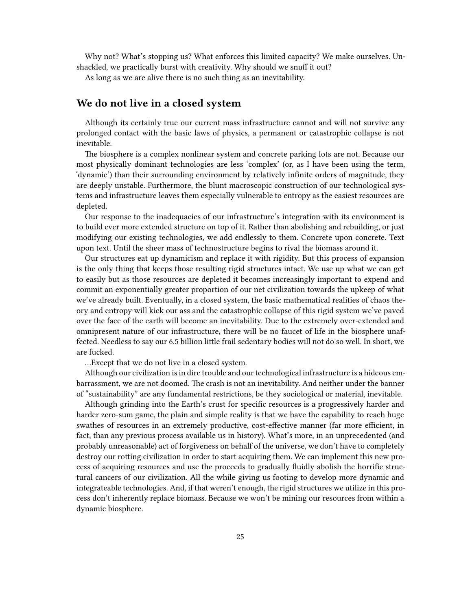Why not? What's stopping us? What enforces this limited capacity? We make ourselves. Unshackled, we practically burst with creativity. Why should we snuff it out?

As long as we are alive there is no such thing as an inevitability.

## <span id="page-24-0"></span>**We do not live in a closed system**

Although its certainly true our current mass infrastructure cannot and will not survive any prolonged contact with the basic laws of physics, a permanent or catastrophic collapse is not inevitable.

The biosphere is a complex nonlinear system and concrete parking lots are not. Because our most physically dominant technologies are less 'complex' (or, as I have been using the term, 'dynamic') than their surrounding environment by relatively infinite orders of magnitude, they are deeply unstable. Furthermore, the blunt macroscopic construction of our technological systems and infrastructure leaves them especially vulnerable to entropy as the easiest resources are depleted.

Our response to the inadequacies of our infrastructure's integration with its environment is to build ever more extended structure on top of it. Rather than abolishing and rebuilding, or just modifying our existing technologies, we add endlessly to them. Concrete upon concrete. Text upon text. Until the sheer mass of technostructure begins to rival the biomass around it.

Our structures eat up dynamicism and replace it with rigidity. But this process of expansion is the only thing that keeps those resulting rigid structures intact. We use up what we can get to easily but as those resources are depleted it becomes increasingly important to expend and commit an exponentially greater proportion of our net civilization towards the upkeep of what we've already built. Eventually, in a closed system, the basic mathematical realities of chaos theory and entropy will kick our ass and the catastrophic collapse of this rigid system we've paved over the face of the earth will become an inevitability. Due to the extremely over-extended and omnipresent nature of our infrastructure, there will be no faucet of life in the biosphere unaffected. Needless to say our 6.5 billion little frail sedentary bodies will not do so well. In short, we are fucked.

…Except that we do not live in a closed system.

Although our civilization is in dire trouble and our technological infrastructure is a hideous embarrassment, we are not doomed. The crash is not an inevitability. And neither under the banner of "sustainability" are any fundamental restrictions, be they sociological or material, inevitable.

Although grinding into the Earth's crust for specific resources is a progressively harder and harder zero-sum game, the plain and simple reality is that we have the capability to reach huge swathes of resources in an extremely productive, cost-effective manner (far more efficient, in fact, than any previous process available us in history). What's more, in an unprecedented (and probably unreasonable) act of forgiveness on behalf of the universe, we don't have to completely destroy our rotting civilization in order to start acquiring them. We can implement this new process of acquiring resources and use the proceeds to gradually fluidly abolish the horrific structural cancers of our civilization. All the while giving us footing to develop more dynamic and integrateable technologies. And, if that weren't enough, the rigid structures we utilize in this process don't inherently replace biomass. Because we won't be mining our resources from within a dynamic biosphere.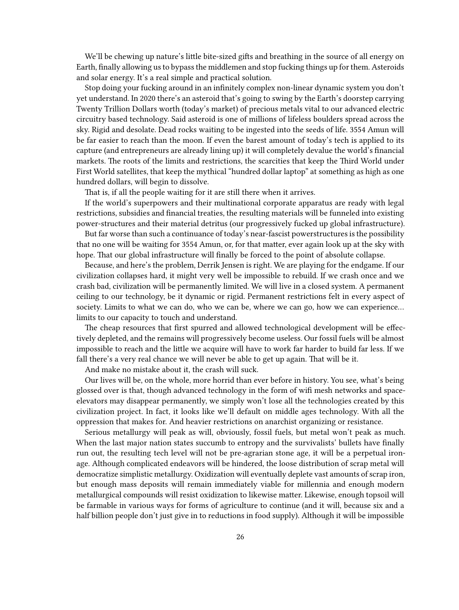We'll be chewing up nature's little bite-sized gifts and breathing in the source of all energy on Earth, finally allowing us to bypass the middlemen and stop fucking things up for them. Asteroids and solar energy. It's a real simple and practical solution.

Stop doing your fucking around in an infinitely complex non-linear dynamic system you don't yet understand. In 2020 there's an asteroid that's going to swing by the Earth's doorstep carrying Twenty Trillion Dollars worth (today's market) of precious metals vital to our advanced electric circuitry based technology. Said asteroid is one of millions of lifeless boulders spread across the sky. Rigid and desolate. Dead rocks waiting to be ingested into the seeds of life. 3554 Amun will be far easier to reach than the moon. If even the barest amount of today's tech is applied to its capture (and entrepreneurs are already lining up) it will completely devalue the world's financial markets. The roots of the limits and restrictions, the scarcities that keep the Third World under First World satellites, that keep the mythical "hundred dollar laptop" at something as high as one hundred dollars, will begin to dissolve.

That is, if all the people waiting for it are still there when it arrives.

If the world's superpowers and their multinational corporate apparatus are ready with legal restrictions, subsidies and financial treaties, the resulting materials will be funneled into existing power-structures and their material detritus (our progressively fucked up global infrastructure).

But far worse than such a continuance of today's near-fascist powerstructures is the possibility that no one will be waiting for 3554 Amun, or, for that matter, ever again look up at the sky with hope. That our global infrastructure will finally be forced to the point of absolute collapse.

Because, and here's the problem, Derrik Jensen is right. We are playing for the endgame. If our civilization collapses hard, it might very well be impossible to rebuild. If we crash once and we crash bad, civilization will be permanently limited. We will live in a closed system. A permanent ceiling to our technology, be it dynamic or rigid. Permanent restrictions felt in every aspect of society. Limits to what we can do, who we can be, where we can go, how we can experience... limits to our capacity to touch and understand.

The cheap resources that first spurred and allowed technological development will be effectively depleted, and the remains will progressively become useless. Our fossil fuels will be almost impossible to reach and the little we acquire will have to work far harder to build far less. If we fall there's a very real chance we will never be able to get up again. That will be it.

And make no mistake about it, the crash will suck.

Our lives will be, on the whole, more horrid than ever before in history. You see, what's being glossed over is that, though advanced technology in the form of wifi mesh networks and spaceelevators may disappear permanently, we simply won't lose all the technologies created by this civilization project. In fact, it looks like we'll default on middle ages technology. With all the oppression that makes for. And heavier restrictions on anarchist organizing or resistance.

Serious metallurgy will peak as will, obviously, fossil fuels, but metal won't peak as much. When the last major nation states succumb to entropy and the survivalists' bullets have finally run out, the resulting tech level will not be pre-agrarian stone age, it will be a perpetual ironage. Although complicated endeavors will be hindered, the loose distribution of scrap metal will democratize simplistic metallurgy. Oxidization will eventually deplete vast amounts of scrap iron, but enough mass deposits will remain immediately viable for millennia and enough modern metallurgical compounds will resist oxidization to likewise matter. Likewise, enough topsoil will be farmable in various ways for forms of agriculture to continue (and it will, because six and a half billion people don't just give in to reductions in food supply). Although it will be impossible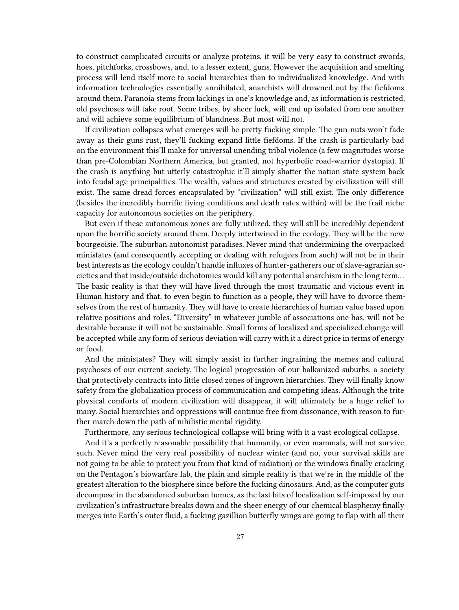to construct complicated circuits or analyze proteins, it will be very easy to construct swords, hoes, pitchforks, crossbows, and, to a lesser extent, guns. However the acquisition and smelting process will lend itself more to social hierarchies than to individualized knowledge. And with information technologies essentially annihilated, anarchists will drowned out by the fiefdoms around them. Paranoia stems from lackings in one's knowledge and, as information is restricted, old psychoses will take root. Some tribes, by sheer luck, will end up isolated from one another and will achieve some equilibrium of blandness. But most will not.

If civilization collapses what emerges will be pretty fucking simple. The gun-nuts won't fade away as their guns rust, they'll fucking expand little fiefdoms. If the crash is particularly bad on the environment this'll make for universal unending tribal violence (a few magnitudes worse than pre-Colombian Northern America, but granted, not hyperbolic road-warrior dystopia). If the crash is anything but utterly catastrophic it'll simply shatter the nation state system back into feudal age principalities. The wealth, values and structures created by civilization will still exist. The same dread forces encapsulated by "civilization" will still exist. The only difference (besides the incredibly horrific living conditions and death rates within) will be the frail niche capacity for autonomous societies on the periphery.

But even if these autonomous zones are fully utilized, they will still be incredibly dependent upon the horrific society around them. Deeply intertwined in the ecology. They will be the new bourgeoisie. The suburban autonomist paradises. Never mind that undermining the overpacked ministates (and consequently accepting or dealing with refugees from such) will not be in their best interests as the ecology couldn't handle influxes of hunter-gatherers our of slave-agrarian societies and that inside/outside dichotomies would kill any potential anarchism in the long term… The basic reality is that they will have lived through the most traumatic and vicious event in Human history and that, to even begin to function as a people, they will have to divorce themselves from the rest of humanity. They will have to create hierarchies of human value based upon relative positions and roles. "Diversity" in whatever jumble of associations one has, will not be desirable because it will not be sustainable. Small forms of localized and specialized change will be accepted while any form of serious deviation will carry with it a direct price in terms of energy or food.

And the ministates? They will simply assist in further ingraining the memes and cultural psychoses of our current society. The logical progression of our balkanized suburbs, a society that protectively contracts into little closed zones of ingrown hierarchies. They will finally know safety from the globalization process of communication and competing ideas. Although the trite physical comforts of modern civilization will disappear, it will ultimately be a huge relief to many. Social hierarchies and oppressions will continue free from dissonance, with reason to further march down the path of nihilistic mental rigidity.

Furthermore, any serious technological collapse will bring with it a vast ecological collapse.

And it's a perfectly reasonable possibility that humanity, or even mammals, will not survive such. Never mind the very real possibility of nuclear winter (and no, your survival skills are not going to be able to protect you from that kind of radiation) or the windows finally cracking on the Pentagon's biowarfare lab, the plain and simple reality is that we're in the middle of the greatest alteration to the biosphere since before the fucking dinosaurs. And, as the computer guts decompose in the abandoned suburban homes, as the last bits of localization self-imposed by our civilization's infrastructure breaks down and the sheer energy of our chemical blasphemy finally merges into Earth's outer fluid, a fucking gazillion butterfly wings are going to flap with all their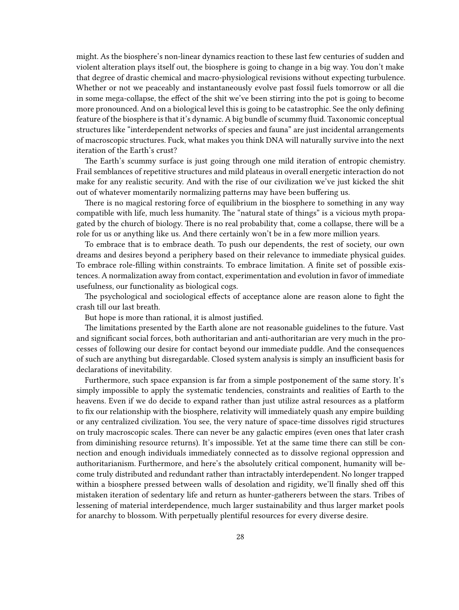might. As the biosphere's non-linear dynamics reaction to these last few centuries of sudden and violent alteration plays itself out, the biosphere is going to change in a big way. You don't make that degree of drastic chemical and macro-physiological revisions without expecting turbulence. Whether or not we peaceably and instantaneously evolve past fossil fuels tomorrow or all die in some mega-collapse, the effect of the shit we've been stirring into the pot is going to become more pronounced. And on a biological level this is going to be catastrophic. See the only defining feature of the biosphere is that it's dynamic. A big bundle of scummy fluid. Taxonomic conceptual structures like "interdependent networks of species and fauna" are just incidental arrangements of macroscopic structures. Fuck, what makes you think DNA will naturally survive into the next iteration of the Earth's crust?

The Earth's scummy surface is just going through one mild iteration of entropic chemistry. Frail semblances of repetitive structures and mild plateaus in overall energetic interaction do not make for any realistic security. And with the rise of our civilization we've just kicked the shit out of whatever momentarily normalizing patterns may have been buffering us.

There is no magical restoring force of equilibrium in the biosphere to something in any way compatible with life, much less humanity. The "natural state of things" is a vicious myth propagated by the church of biology. There is no real probability that, come a collapse, there will be a role for us or anything like us. And there certainly won't be in a few more million years.

To embrace that is to embrace death. To push our dependents, the rest of society, our own dreams and desires beyond a periphery based on their relevance to immediate physical guides. To embrace role-filling within constraints. To embrace limitation. A finite set of possible existences. A normalization away from contact, experimentation and evolution in favor of immediate usefulness, our functionality as biological cogs.

The psychological and sociological effects of acceptance alone are reason alone to fight the crash till our last breath.

But hope is more than rational, it is almost justified.

The limitations presented by the Earth alone are not reasonable guidelines to the future. Vast and significant social forces, both authoritarian and anti-authoritarian are very much in the processes of following our desire for contact beyond our immediate puddle. And the consequences of such are anything but disregardable. Closed system analysis is simply an insufficient basis for declarations of inevitability.

Furthermore, such space expansion is far from a simple postponement of the same story. It's simply impossible to apply the systematic tendencies, constraints and realities of Earth to the heavens. Even if we do decide to expand rather than just utilize astral resources as a platform to fix our relationship with the biosphere, relativity will immediately quash any empire building or any centralized civilization. You see, the very nature of space-time dissolves rigid structures on truly macroscopic scales. There can never be any galactic empires (even ones that later crash from diminishing resource returns). It's impossible. Yet at the same time there can still be connection and enough individuals immediately connected as to dissolve regional oppression and authoritarianism. Furthermore, and here's the absolutely critical component, humanity will become truly distributed and redundant rather than intractably interdependent. No longer trapped within a biosphere pressed between walls of desolation and rigidity, we'll finally shed off this mistaken iteration of sedentary life and return as hunter-gatherers between the stars. Tribes of lessening of material interdependence, much larger sustainability and thus larger market pools for anarchy to blossom. With perpetually plentiful resources for every diverse desire.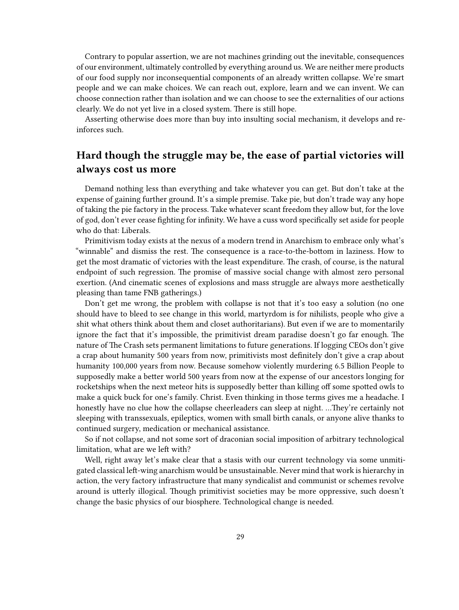Contrary to popular assertion, we are not machines grinding out the inevitable, consequences of our environment, ultimately controlled by everything around us. We are neither mere products of our food supply nor inconsequential components of an already written collapse. We're smart people and we can make choices. We can reach out, explore, learn and we can invent. We can choose connection rather than isolation and we can choose to see the externalities of our actions clearly. We do not yet live in a closed system. There is still hope.

Asserting otherwise does more than buy into insulting social mechanism, it develops and reinforces such.

# <span id="page-28-0"></span>**Hard though the struggle may be, the ease of partial victories will always cost us more**

Demand nothing less than everything and take whatever you can get. But don't take at the expense of gaining further ground. It's a simple premise. Take pie, but don't trade way any hope of taking the pie factory in the process. Take whatever scant freedom they allow but, for the love of god, don't ever cease fighting for infinity. We have a cuss word specifically set aside for people who do that: Liberals.

Primitivism today exists at the nexus of a modern trend in Anarchism to embrace only what's "winnable" and dismiss the rest. The consequence is a race-to-the-bottom in laziness. How to get the most dramatic of victories with the least expenditure. The crash, of course, is the natural endpoint of such regression. The promise of massive social change with almost zero personal exertion. (And cinematic scenes of explosions and mass struggle are always more aesthetically pleasing than tame FNB gatherings.)

Don't get me wrong, the problem with collapse is not that it's too easy a solution (no one should have to bleed to see change in this world, martyrdom is for nihilists, people who give a shit what others think about them and closet authoritarians). But even if we are to momentarily ignore the fact that it's impossible, the primitivist dream paradise doesn't go far enough. The nature of The Crash sets permanent limitations to future generations. If logging CEOs don't give a crap about humanity 500 years from now, primitivists most definitely don't give a crap about humanity 100,000 years from now. Because somehow violently murdering 6.5 Billion People to supposedly make a better world 500 years from now at the expense of our ancestors longing for rocketships when the next meteor hits is supposedly better than killing off some spotted owls to make a quick buck for one's family. Christ. Even thinking in those terms gives me a headache. I honestly have no clue how the collapse cheerleaders can sleep at night. …They're certainly not sleeping with transsexuals, epileptics, women with small birth canals, or anyone alive thanks to continued surgery, medication or mechanical assistance.

So if not collapse, and not some sort of draconian social imposition of arbitrary technological limitation, what are we left with?

Well, right away let's make clear that a stasis with our current technology via some unmitigated classical left-wing anarchism would be unsustainable. Never mind that work is hierarchy in action, the very factory infrastructure that many syndicalist and communist or schemes revolve around is utterly illogical. Though primitivist societies may be more oppressive, such doesn't change the basic physics of our biosphere. Technological change is needed.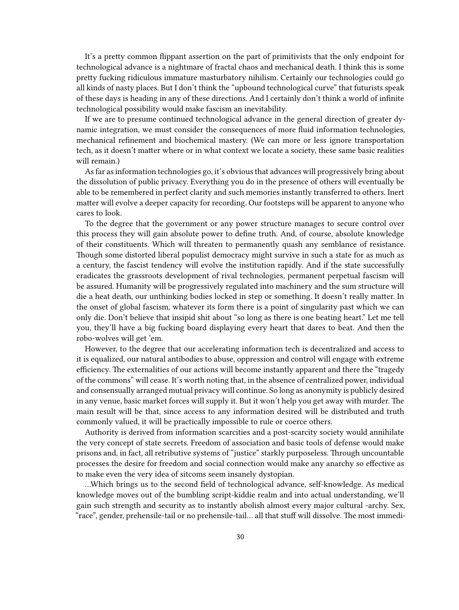It's a pretty common flippant assertion on the part of primitivists that the only endpoint for technological advance is a nightmare of fractal chaos and mechanical death. I think this is some pretty fucking ridiculous immature masturbatory nihilism. Certainly our technologies could go all kinds of nasty places. But I don't think the "upbound technological curve" that futurists speak of these days is heading in any of these directions. And I certainly don't think a world of infinite technological possibility would make fascism an inevitability.

If we are to presume continued technological advance in the general direction of greater dynamic integration, we must consider the consequences of more fluid information technologies, mechanical refinement and biochemical mastery. (We can more or less ignore transportation tech, as it doesn't matter where or in what context we locate a society, these same basic realities will remain.)

As far as information technologies go, it's obvious that advances will progressively bring about the dissolution of public privacy. Everything you do in the presence of others will eventually be able to be remembered in perfect clarity and such memories instantly transferred to others. Inert matter will evolve a deeper capacity for recording. Our footsteps will be apparent to anyone who cares to look.

To the degree that the government or any power structure manages to secure control over this process they will gain absolute power to define truth. And, of course, absolute knowledge of their constituents. Which will threaten to permanently quash any semblance of resistance. Though some distorted liberal populist democracy might survive in such a state for as much as a century, the fascist tendency will evolve the institution rapidly. And if the state successfully eradicates the grassroots development of rival technologies, permanent perpetual fascism will be assured. Humanity will be progressively regulated into machinery and the sum structure will die a heat death, our unthinking bodies locked in step or something. It doesn't really matter. In the onset of global fascism, whatever its form there is a point of singularity past which we can only die. Don't believe that insipid shit about "so long as there is one beating heart." Let me tell you, they'll have a big fucking board displaying every heart that dares to beat. And then the robo-wolves will get 'em.

However, to the degree that our accelerating information tech is decentralized and access to it is equalized, our natural antibodies to abuse, oppression and control will engage with extreme efficiency. The externalities of our actions will become instantly apparent and there the "tragedy of the commons" will cease. It's worth noting that, in the absence of centralized power, individual and consensually arranged mutual privacy will continue. So long as anonymity is publicly desired in any venue, basic market forces will supply it. But it won't help you get away with murder. The main result will be that, since access to any information desired will be distributed and truth commonly valued, it will be practically impossible to rule or coerce others.

Authority is derived from information scarcities and a post-scarcity society would annihilate the very concept of state secrets. Freedom of association and basic tools of defense would make prisons and, in fact, all retributive systems of "justice" starkly purposeless. Through uncountable processes the desire for freedom and social connection would make any anarchy so effective as to make even the very idea of sitcoms seem insanely dystopian.

…Which brings us to the second field of technological advance, self-knowledge. As medical knowledge moves out of the bumbling script-kiddie realm and into actual understanding, we'll gain such strength and security as to instantly abolish almost every major cultural -archy. Sex, "race", gender, prehensile-tail or no prehensile-tail… all that stuff will dissolve. The most immedi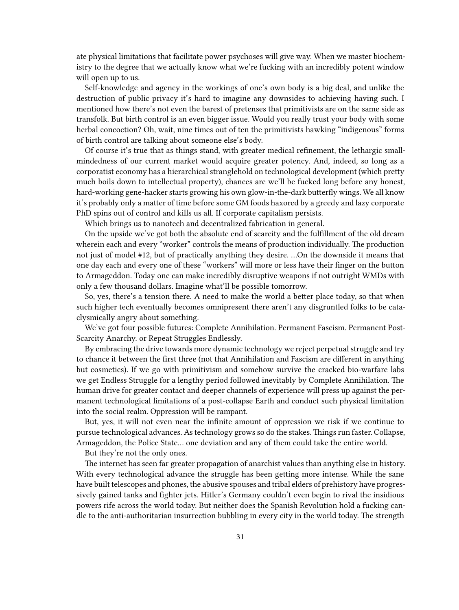ate physical limitations that facilitate power psychoses will give way. When we master biochemistry to the degree that we actually know what we're fucking with an incredibly potent window will open up to us.

Self-knowledge and agency in the workings of one's own body is a big deal, and unlike the destruction of public privacy it's hard to imagine any downsides to achieving having such. I mentioned how there's not even the barest of pretenses that primitivists are on the same side as transfolk. But birth control is an even bigger issue. Would you really trust your body with some herbal concoction? Oh, wait, nine times out of ten the primitivists hawking "indigenous" forms of birth control are talking about someone else's body.

Of course it's true that as things stand, with greater medical refinement, the lethargic smallmindedness of our current market would acquire greater potency. And, indeed, so long as a corporatist economy has a hierarchical stranglehold on technological development (which pretty much boils down to intellectual property), chances are we'll be fucked long before any honest, hard-working gene-hacker starts growing his own glow-in-the-dark butterfly wings. We all know it's probably only a matter of time before some GM foods haxored by a greedy and lazy corporate PhD spins out of control and kills us all. If corporate capitalism persists.

Which brings us to nanotech and decentralized fabrication in general.

On the upside we've got both the absolute end of scarcity and the fulfillment of the old dream wherein each and every "worker" controls the means of production individually. The production not just of model #12, but of practically anything they desire. …On the downside it means that one day each and every one of these "workers" will more or less have their finger on the button to Armageddon. Today one can make incredibly disruptive weapons if not outright WMDs with only a few thousand dollars. Imagine what'll be possible tomorrow.

So, yes, there's a tension there. A need to make the world a better place today, so that when such higher tech eventually becomes omnipresent there aren't any disgruntled folks to be cataclysmically angry about something.

We've got four possible futures: Complete Annihilation. Permanent Fascism. Permanent Post-Scarcity Anarchy. or Repeat Struggles Endlessly.

By embracing the drive towards more dynamic technology we reject perpetual struggle and try to chance it between the first three (not that Annihilation and Fascism are different in anything but cosmetics). If we go with primitivism and somehow survive the cracked bio-warfare labs we get Endless Struggle for a lengthy period followed inevitably by Complete Annihilation. The human drive for greater contact and deeper channels of experience will press up against the permanent technological limitations of a post-collapse Earth and conduct such physical limitation into the social realm. Oppression will be rampant.

But, yes, it will not even near the infinite amount of oppression we risk if we continue to pursue technological advances. As technology grows so do the stakes. Things run faster. Collapse, Armageddon, the Police State… one deviation and any of them could take the entire world.

But they're not the only ones.

The internet has seen far greater propagation of anarchist values than anything else in history. With every technological advance the struggle has been getting more intense. While the sane have built telescopes and phones, the abusive spouses and tribal elders of prehistory have progressively gained tanks and fighter jets. Hitler's Germany couldn't even begin to rival the insidious powers rife across the world today. But neither does the Spanish Revolution hold a fucking candle to the anti-authoritarian insurrection bubbling in every city in the world today. The strength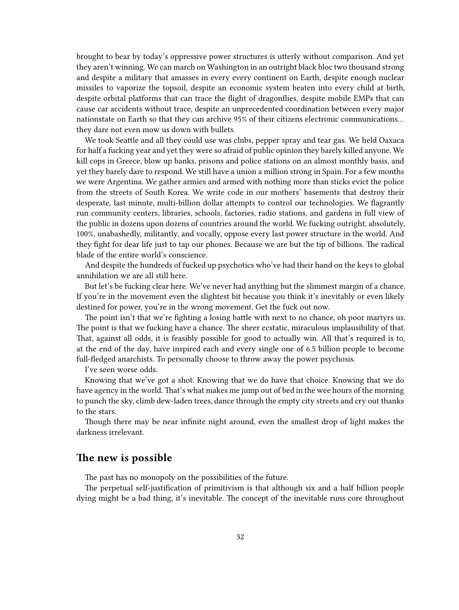brought to bear by today's oppressive power structures is utterly without comparison. And yet they aren't winning. We can march on Washington in an outright black bloc two thousand strong and despite a military that amasses in every every continent on Earth, despite enough nuclear missiles to vaporize the topsoil, despite an economic system beaten into every child at birth, despite orbital platforms that can trace the flight of dragonflies, despite mobile EMPs that can cause car accidents without trace, despite an unprecedented coordination between every major nationstate on Earth so that they can archive 95% of their citizens electronic communications… they dare not even mow us down with bullets.

We took Seattle and all they could use was clubs, pepper spray and tear gas. We held Oaxaca for half a fucking year and yet they were so afraid of public opinion they barely killed anyone. We kill cops in Greece, blow up banks, prisons and police stations on an almost monthly basis, and yet they barely dare to respond. We still have a union a million strong in Spain. For a few months we were Argentina. We gather armies and armed with nothing more than sticks evict the police from the streets of South Korea. We write code in our mothers' basements that destroy their desperate, last minute, multi-billion dollar attempts to control our technologies. We flagrantly run community centers, libraries, schools, factories, radio stations, and gardens in full view of the public in dozens upon dozens of countries around the world. We fucking outright, absolutely, 100%, unabashedly, militantly, and vocally, oppose every last power structure in the world. And they fight for dear life just to tap our phones. Because we are but the tip of billions. The radical blade of the entire world's conscience.

And despite the hundreds of fucked up psychotics who've had their hand on the keys to global annihilation we are all still here.

But let's be fucking clear here. We've never had anything but the slimmest margin of a chance. If you're in the movement even the slightest bit because you think it's inevitably or even likely destined for power, you're in the wrong movement. Get the fuck out now.

The point isn't that we're fighting a losing battle with next to no chance, oh poor martyrs us. The point is that we fucking have a chance. The sheer ecstatic, miraculous implausibility of that. That, against all odds, it is feasibly possible for good to actually win. All that's required is to, at the end of the day, have inspired each and every single one of 6.5 billion people to become full-fledged anarchists. To personally choose to throw away the power psychosis.

I've seen worse odds.

Knowing that we've got a shot. Knowing that we do have that choice. Knowing that we do have agency in the world. That's what makes me jump out of bed in the wee hours of the morning to punch the sky, climb dew-laden trees, dance through the empty city streets and cry out thanks to the stars.

Though there may be near infinite night around, even the smallest drop of light makes the darkness irrelevant.

### <span id="page-31-0"></span>**The new is possible**

The past has no monopoly on the possibilities of the future.

The perpetual self-justification of primitivism is that although six and a half billion people dying might be a bad thing, it's inevitable. The concept of the inevitable runs core throughout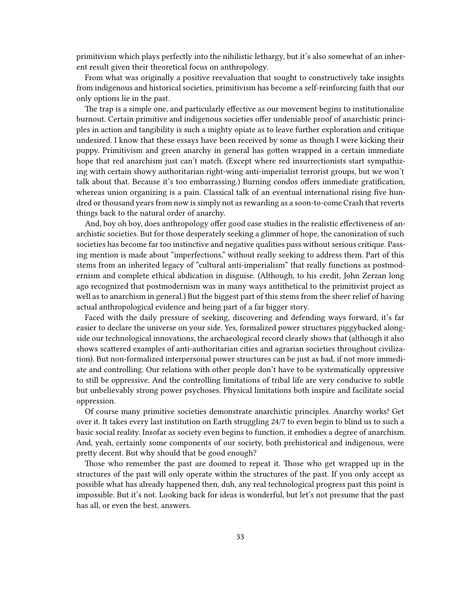primitivism which plays perfectly into the nihilistic lethargy, but it's also somewhat of an inherent result given their theoretical focus on anthropology.

From what was originally a positive reevaluation that sought to constructively take insights from indigenous and historical societies, primitivism has become a self-reinforcing faith that our only options lie in the past.

The trap is a simple one, and particularly effective as our movement begins to institutionalize burnout. Certain primitive and indigenous societies offer undeniable proof of anarchistic principles in action and tangibility is such a mighty opiate as to leave further exploration and critique undesired. I know that these essays have been received by some as though I were kicking their puppy. Primitivism and green anarchy in general has gotten wrapped in a certain immediate hope that red anarchism just can't match. (Except where red insurrectionists start sympathizing with certain showy authoritarian right-wing anti-imperialist terrorist groups, but we won't talk about that. Because it's too embarrassing.) Burning condos offers immediate gratification, whereas union organizing is a pain. Classical talk of an eventual international rising five hundred or thousand years from now is simply not as rewarding as a soon-to-come Crash that reverts things back to the natural order of anarchy.

And, boy oh boy, does anthropology offer good case studies in the realistic effectiveness of anarchistic societies. But for those desperately seeking a glimmer of hope, the canonization of such societies has become far too instinctive and negative qualities pass without serious critique. Passing mention is made about "imperfections," without really seeking to address them. Part of this stems from an inherited legacy of "cultural anti-imperialism" that really functions as postmodernism and complete ethical abdication in disguise. (Although, to his credit, John Zerzan long ago recognized that postmodernism was in many ways antithetical to the primitivist project as well as to anarchism in general.) But the biggest part of this stems from the sheer relief of having actual anthropological evidence and being part of a far bigger story.

Faced with the daily pressure of seeking, discovering and defending ways forward, it's far easier to declare the universe on your side. Yes, formalized power structures piggybacked alongside our technological innovations, the archaeological record clearly shows that (although it also shows scattered examples of anti-authoritarian cities and agrarian societies throughout civilization). But non-formalized interpersonal power structures can be just as bad, if not more immediate and controlling. Our relations with other people don't have to be systematically oppressive to still be oppressive. And the controlling limitations of tribal life are very conducive to subtle but unbelievably strong power psychoses. Physical limitations both inspire and facilitate social oppression.

Of course many primitive societies demonstrate anarchistic principles. Anarchy works! Get over it. It takes every last institution on Earth struggling 24/7 to even begin to blind us to such a basic social reality. Insofar as society even begins to function, it embodies a degree of anarchism. And, yeah, certainly some components of our society, both prehistorical and indigenous, were pretty decent. But why should that be good enough?

Those who remember the past are doomed to repeat it. Those who get wrapped up in the structures of the past will only operate within the structures of the past. If you only accept as possible what has already happened then, duh, any real technological progress past this point is impossible. But it's not. Looking back for ideas is wonderful, but let's not presume that the past has all, or even the best, answers.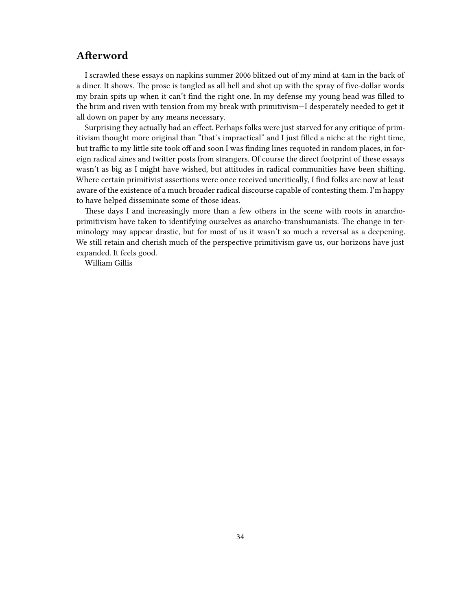## <span id="page-33-0"></span>**Afterword**

I scrawled these essays on napkins summer 2006 blitzed out of my mind at 4am in the back of a diner. It shows. The prose is tangled as all hell and shot up with the spray of five-dollar words my brain spits up when it can't find the right one. In my defense my young head was filled to the brim and riven with tension from my break with primitivism—I desperately needed to get it all down on paper by any means necessary.

Surprising they actually had an effect. Perhaps folks were just starved for any critique of primitivism thought more original than "that's impractical" and I just filled a niche at the right time, but traffic to my little site took off and soon I was finding lines requoted in random places, in foreign radical zines and twitter posts from strangers. Of course the direct footprint of these essays wasn't as big as I might have wished, but attitudes in radical communities have been shifting. Where certain primitivist assertions were once received uncritically, I find folks are now at least aware of the existence of a much broader radical discourse capable of contesting them. I'm happy to have helped disseminate some of those ideas.

These days I and increasingly more than a few others in the scene with roots in anarchoprimitivism have taken to identifying ourselves as anarcho-transhumanists. The change in terminology may appear drastic, but for most of us it wasn't so much a reversal as a deepening. We still retain and cherish much of the perspective primitivism gave us, our horizons have just expanded. It feels good.

William Gillis